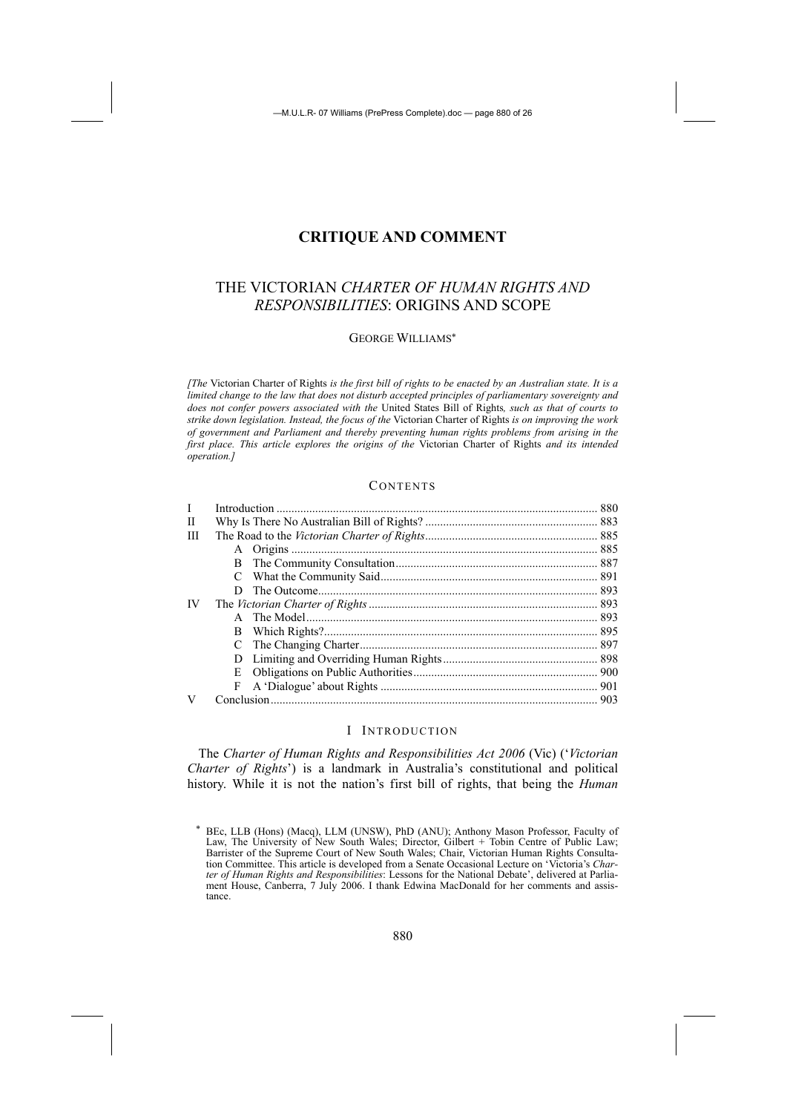# **CRITIQUE AND COMMENT**

# THE VICTORIAN *CHARTER OF HUMAN RIGHTS AND RESPONSIBILITIES*: ORIGINS AND SCOPE

## GEORGE WILLIAMS<sup>∗</sup>

*[The* Victorian Charter of Rights *is the first bill of rights to be enacted by an Australian state. It is a limited change to the law that does not disturb accepted principles of parliamentary sovereignty and does not confer powers associated with the* United States Bill of Rights*, such as that of courts to strike down legislation. Instead, the focus of the* Victorian Charter of Rights *is on improving the work of government and Parliament and thereby preventing human rights problems from arising in the first place. This article explores the origins of the* Victorian Charter of Rights *and its intended operation.]*

## **CONTENTS**

| L  |    |  |  |
|----|----|--|--|
| H  |    |  |  |
| Ш  |    |  |  |
|    |    |  |  |
|    |    |  |  |
|    | C  |  |  |
|    | D. |  |  |
| IV |    |  |  |
|    |    |  |  |
|    |    |  |  |
|    |    |  |  |
|    | D. |  |  |
|    | E  |  |  |
|    | F  |  |  |
|    |    |  |  |

#### I INTRODUCTION

The *Charter of Human Rights and Responsibilities Act 2006* (Vic) ('*Victorian Charter of Rights*') is a landmark in Australia's constitutional and political history. While it is not the nation's first bill of rights, that being the *Human* 

<sup>∗</sup> BEc, LLB (Hons) (Macq), LLM (UNSW), PhD (ANU); Anthony Mason Professor, Faculty of Law, The University of New South Wales; Director, Gilbert + Tobin Centre of Public Law; Barrister of the Supreme Court of New South Wales; Chair, Victorian Human Rights Consultation Committee. This article is developed from a Senate Occasional Lecture on 'Victoria's *Charter of Human Rights and Responsibilities*: Lessons for the National Debate', delivered at Parliament House, Canberra, 7 July 2006. I thank Edwina MacDonald for her comments and assistance.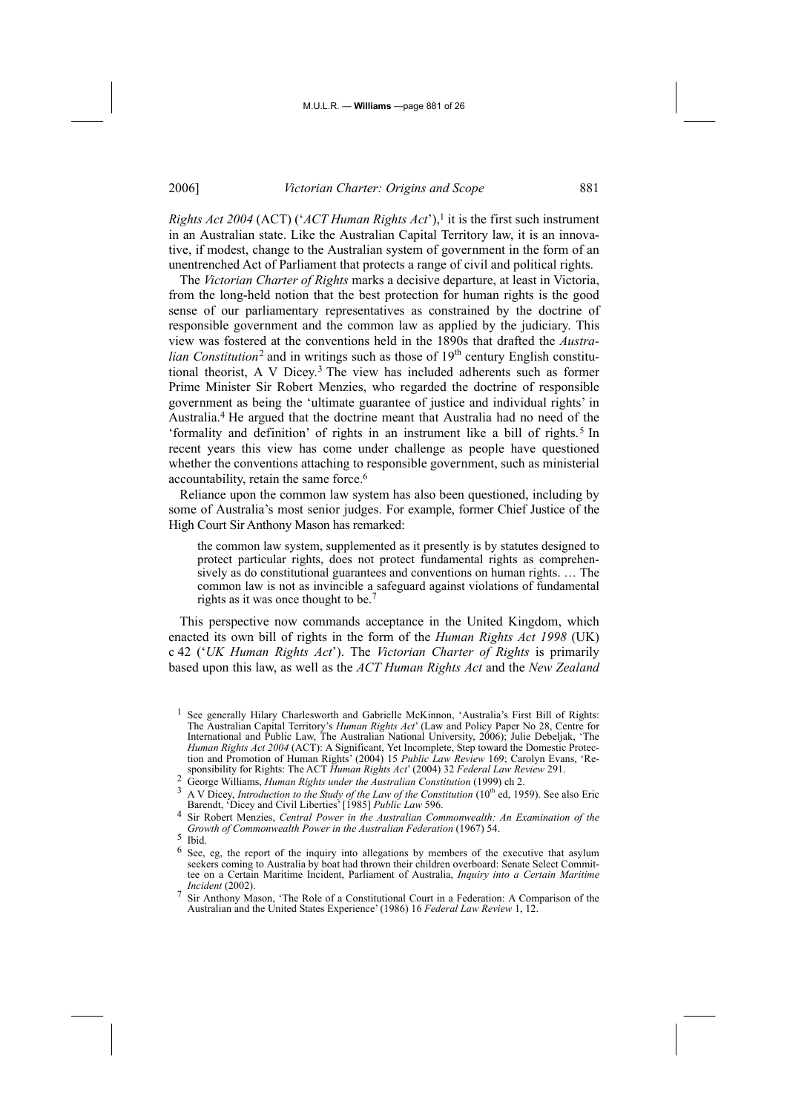*Rights Act 2004* (ACT) ('*ACT Human Rights Act*'),<sup>1</sup> it is the first such instrument in an Australian state. Like the Australian Capital Territory law, it is an innovative, if modest, change to the Australian system of government in the form of an unentrenched Act of Parliament that protects a range of civil and political rights.

The *Victorian Charter of Rights* marks a decisive departure, at least in Victoria, from the long-held notion that the best protection for human rights is the good sense of our parliamentary representatives as constrained by the doctrine of responsible government and the common law as applied by the judiciary. This view was fostered at the conventions held in the 1890s that drafted the *Australian Constitution*<sup>2</sup> and in writings such as those of  $19<sup>th</sup>$  century English constitutional theorist, A V Dicey.3 The view has included adherents such as former Prime Minister Sir Robert Menzies, who regarded the doctrine of responsible government as being the 'ultimate guarantee of justice and individual rights' in Australia.4 He argued that the doctrine meant that Australia had no need of the 'formality and definition' of rights in an instrument like a bill of rights.5 In recent years this view has come under challenge as people have questioned whether the conventions attaching to responsible government, such as ministerial accountability, retain the same force.6

Reliance upon the common law system has also been questioned, including by some of Australia's most senior judges. For example, former Chief Justice of the High Court Sir Anthony Mason has remarked:

the common law system, supplemented as it presently is by statutes designed to protect particular rights, does not protect fundamental rights as comprehensively as do constitutional guarantees and conventions on human rights. … The common law is not as invincible a safeguard against violations of fundamental rights as it was once thought to be.<sup>7</sup>

This perspective now commands acceptance in the United Kingdom, which enacted its own bill of rights in the form of the *Human Rights Act 1998* (UK) c 42 ('*UK Human Rights Act*'). The *Victorian Charter of Rights* is primarily based upon this law, as well as the *ACT Human Rights Act* and the *New Zealand* 

<sup>1</sup> See generally Hilary Charlesworth and Gabrielle McKinnon, 'Australia's First Bill of Rights: The Australian Capital Territory's *Human Rights Act*' (Law and Policy Paper No 28, Centre for International and Public Law, The Australian National University, 2006); Julie Debeljak, 'The *Human Rights Act 2004* (ACT): A Significant, Yet Incomplete, Step toward the Domestic Protection and Promotion of Human Rights' (2004) 15 *Public Law Review* 169; Carolyn Evans, 'Responsibility for Rights: The ACT *Human Rights Act*' (2004) 32 *Federal Law Review* 291.

<sup>2</sup> George Williams, *Human Rights under the Australian Constitution* (1999) ch 2.<br>3 A V Dicey, *Introduction to the Study of the Law of the Constitution* (10<sup>th</sup> ed, 1959). See also Eric Barendt, 'Dicey and Civil Liberties' [1985] *Public Law* 596.

<sup>4</sup> Sir Robert Menzies, *Central Power in the Australian Commonwealth: An Examination of the Growth of Commonwealth Power in the Australian Federation* (1967) 54.

<sup>5</sup> Ibid.

<sup>6</sup> See, eg, the report of the inquiry into allegations by members of the executive that asylum seekers coming to Australia by boat had thrown their children overboard: Senate Select Committee on a Certain Maritime Incident, Parliament of Australia, *Inquiry into a Certain Maritime Incident* (2002).

<sup>7</sup> Sir Anthony Mason, 'The Role of a Constitutional Court in a Federation: A Comparison of the Australian and the United States Experience' (1986) 16 *Federal Law Review* 1, 12.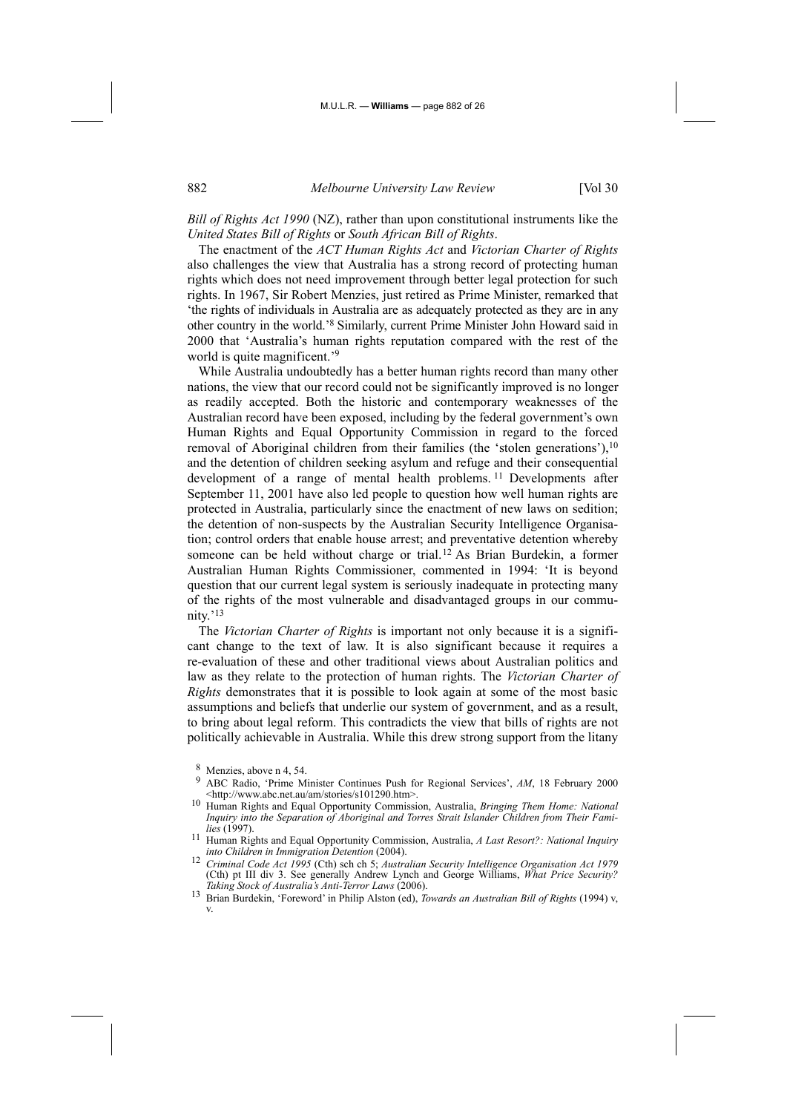*Bill of Rights Act 1990* (NZ), rather than upon constitutional instruments like the *United States Bill of Rights* or *South African Bill of Rights*.

The enactment of the *ACT Human Rights Act* and *Victorian Charter of Rights* also challenges the view that Australia has a strong record of protecting human rights which does not need improvement through better legal protection for such rights. In 1967, Sir Robert Menzies, just retired as Prime Minister, remarked that 'the rights of individuals in Australia are as adequately protected as they are in any other country in the world.'8 Similarly, current Prime Minister John Howard said in 2000 that 'Australia's human rights reputation compared with the rest of the world is quite magnificent.<sup>'9</sup>

While Australia undoubtedly has a better human rights record than many other nations, the view that our record could not be significantly improved is no longer as readily accepted. Both the historic and contemporary weaknesses of the Australian record have been exposed, including by the federal government's own Human Rights and Equal Opportunity Commission in regard to the forced removal of Aboriginal children from their families (the 'stolen generations'),10 and the detention of children seeking asylum and refuge and their consequential development of a range of mental health problems. 11 Developments after September 11, 2001 have also led people to question how well human rights are protected in Australia, particularly since the enactment of new laws on sedition; the detention of non-suspects by the Australian Security Intelligence Organisation; control orders that enable house arrest; and preventative detention whereby someone can be held without charge or trial.12 As Brian Burdekin, a former Australian Human Rights Commissioner, commented in 1994: 'It is beyond question that our current legal system is seriously inadequate in protecting many of the rights of the most vulnerable and disadvantaged groups in our community.'13

The *Victorian Charter of Rights* is important not only because it is a significant change to the text of law. It is also significant because it requires a re-evaluation of these and other traditional views about Australian politics and law as they relate to the protection of human rights. The *Victorian Charter of Rights* demonstrates that it is possible to look again at some of the most basic assumptions and beliefs that underlie our system of government, and as a result, to bring about legal reform. This contradicts the view that bills of rights are not politically achievable in Australia. While this drew strong support from the litany

- ABC Radio, 'Prime Minister Continues Push for Regional Services', *AM*, 18 February 2000 <http://www.abc.net.au/am/stories/s101290.htm>.
- <sup>10</sup> Human Rights and Equal Opportunity Commission, Australia, *Bringing Them Home: National Inquiry into the Separation of Aboriginal and Torres Strait Islander Children from Their Fami-*
- *Human Rights and Equal Opportunity Commission, Australia, A Last Resort?: National Inquiry into Children in Immigration Detention (2004).*<br> *Criminal Code Act 1995 (Cth) sch ch 5; Australian Security Intelligence Organisation Act 1979*
- (Cth) pt III div 3. See generally Andrew Lynch and George Williams, *What Price Security?*
- <sup>13</sup> Brian Burdekin, 'Foreword' in Philip Alston (ed), *Towards an Australian Bill of Rights* (1994) v, v.

 $\frac{8}{9}$  Menzies, above n 4, 54.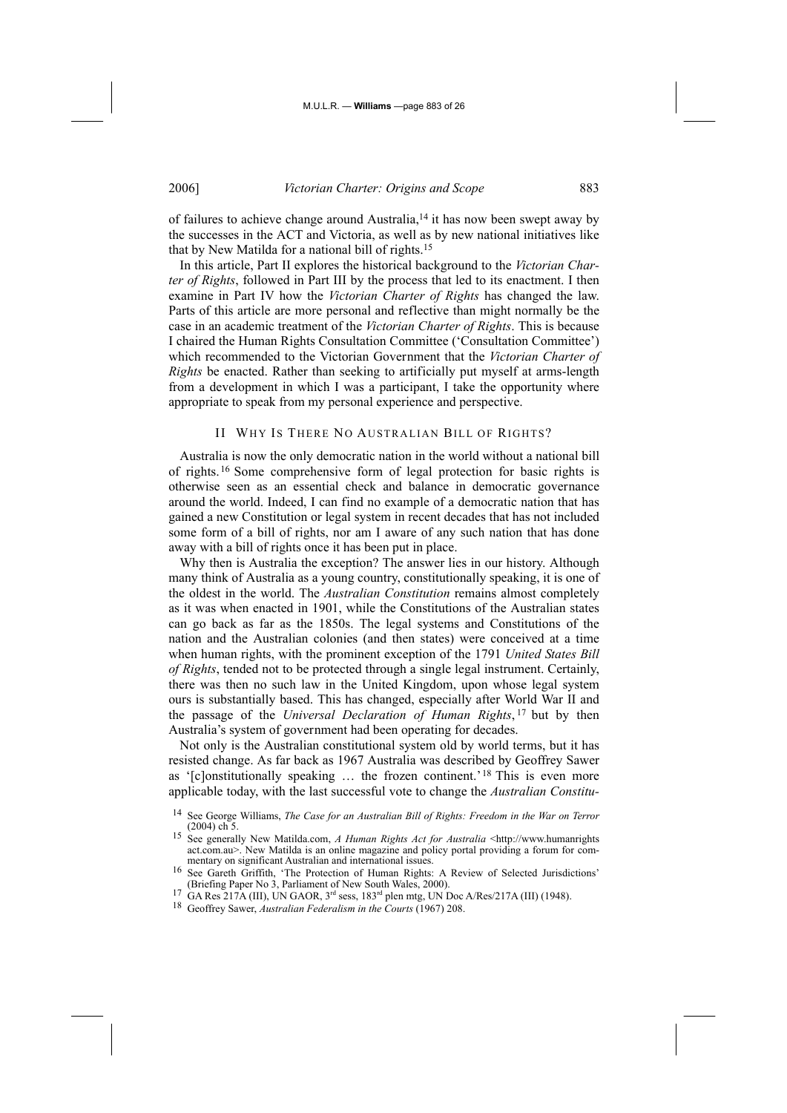of failures to achieve change around Australia,<sup>14</sup> it has now been swept away by the successes in the ACT and Victoria, as well as by new national initiatives like that by New Matilda for a national bill of rights.15

In this article, Part II explores the historical background to the *Victorian Charter of Rights*, followed in Part III by the process that led to its enactment. I then examine in Part IV how the *Victorian Charter of Rights* has changed the law. Parts of this article are more personal and reflective than might normally be the case in an academic treatment of the *Victorian Charter of Rights*. This is because I chaired the Human Rights Consultation Committee ('Consultation Committee') which recommended to the Victorian Government that the *Victorian Charter of Rights* be enacted. Rather than seeking to artificially put myself at arms-length from a development in which I was a participant, I take the opportunity where appropriate to speak from my personal experience and perspective.

## II WHY IS THERE NO AUSTRALIAN BILL OF RIGHTS?

Australia is now the only democratic nation in the world without a national bill of rights.16 Some comprehensive form of legal protection for basic rights is otherwise seen as an essential check and balance in democratic governance around the world. Indeed, I can find no example of a democratic nation that has gained a new Constitution or legal system in recent decades that has not included some form of a bill of rights, nor am I aware of any such nation that has done away with a bill of rights once it has been put in place.

Why then is Australia the exception? The answer lies in our history. Although many think of Australia as a young country, constitutionally speaking, it is one of the oldest in the world. The *Australian Constitution* remains almost completely as it was when enacted in 1901, while the Constitutions of the Australian states can go back as far as the 1850s. The legal systems and Constitutions of the nation and the Australian colonies (and then states) were conceived at a time when human rights, with the prominent exception of the 1791 *United States Bill of Rights*, tended not to be protected through a single legal instrument. Certainly, there was then no such law in the United Kingdom, upon whose legal system ours is substantially based. This has changed, especially after World War II and the passage of the *Universal Declaration of Human Rights*, 17 but by then Australia's system of government had been operating for decades.

Not only is the Australian constitutional system old by world terms, but it has resisted change. As far back as 1967 Australia was described by Geoffrey Sawer as '[c]onstitutionally speaking … the frozen continent.'18 This is even more applicable today, with the last successful vote to change the *Australian Constitu-*

<sup>14</sup> See George Williams, *The Case for an Australian Bill of Rights: Freedom in the War on Terror* (2004) ch<sup>5</sup>. 15 See generally New Matilda.com, *A Human Rights Act for Australia* <http://www.humanrights

act.com.au>. New Matilda is an online magazine and policy portal providing a forum for com-<br>mentary on significant Australian and international issues.

<sup>&</sup>lt;sup>16</sup> See Gareth Griffith, 'The Protection of Human Rights: A Review of Selected Jurisdictions' (Briefing Paper No 3, Parliament of New South Wales, 2000).<br><sup>17</sup> GA Res 217A (III), UN GAOR, 3<sup>rd</sup> sess, 183<sup>rd</sup> plen mtg, UN Doc A/Res/217A (III) (1948).<br><sup>18</sup> Geoffrey Sawer, *Australian Federalism in the Courts* (1967) 2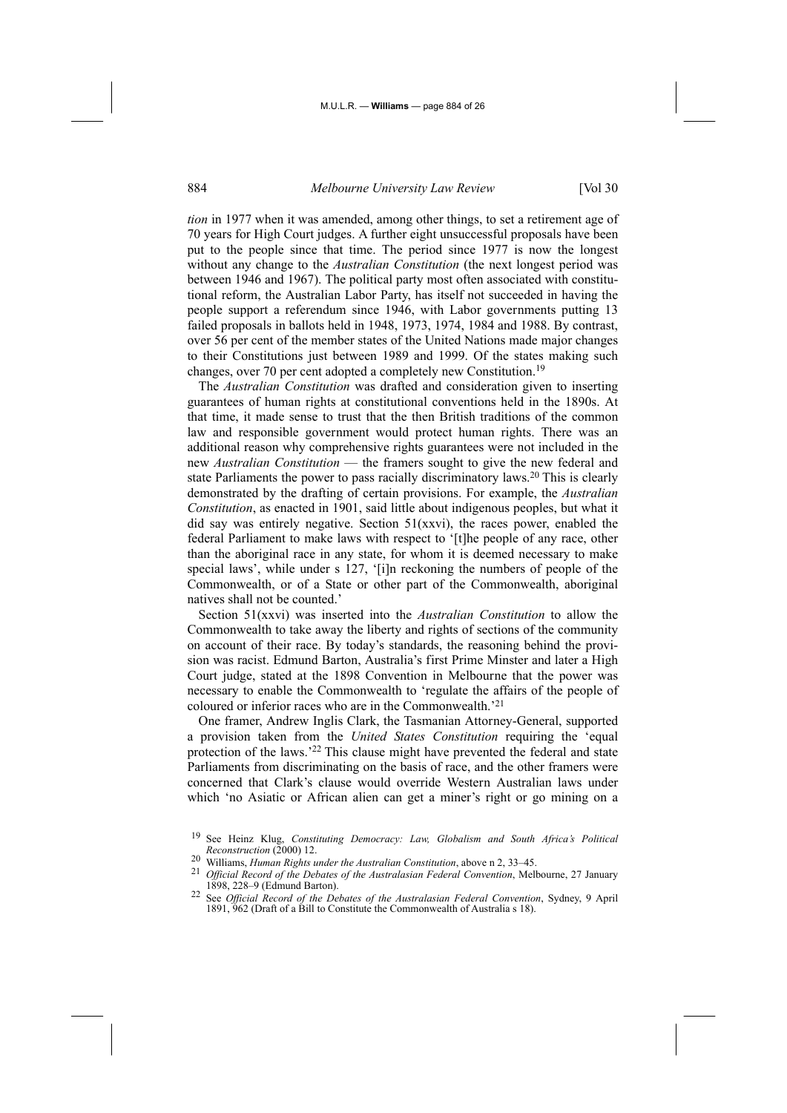*tion* in 1977 when it was amended, among other things, to set a retirement age of 70 years for High Court judges. A further eight unsuccessful proposals have been put to the people since that time. The period since 1977 is now the longest without any change to the *Australian Constitution* (the next longest period was between 1946 and 1967). The political party most often associated with constitutional reform, the Australian Labor Party, has itself not succeeded in having the people support a referendum since 1946, with Labor governments putting 13 failed proposals in ballots held in 1948, 1973, 1974, 1984 and 1988. By contrast, over 56 per cent of the member states of the United Nations made major changes to their Constitutions just between 1989 and 1999. Of the states making such changes, over 70 per cent adopted a completely new Constitution.19

The *Australian Constitution* was drafted and consideration given to inserting guarantees of human rights at constitutional conventions held in the 1890s. At that time, it made sense to trust that the then British traditions of the common law and responsible government would protect human rights. There was an additional reason why comprehensive rights guarantees were not included in the new *Australian Constitution* — the framers sought to give the new federal and state Parliaments the power to pass racially discriminatory laws.20 This is clearly demonstrated by the drafting of certain provisions. For example, the *Australian Constitution*, as enacted in 1901, said little about indigenous peoples, but what it did say was entirely negative. Section  $51(xxy)$ , the races power, enabled the federal Parliament to make laws with respect to '[t]he people of any race, other than the aboriginal race in any state, for whom it is deemed necessary to make special laws', while under s 127, '[i]n reckoning the numbers of people of the Commonwealth, or of a State or other part of the Commonwealth, aboriginal natives shall not be counted.'

Section 51(xxvi) was inserted into the *Australian Constitution* to allow the Commonwealth to take away the liberty and rights of sections of the community on account of their race. By today's standards, the reasoning behind the provision was racist. Edmund Barton, Australia's first Prime Minster and later a High Court judge, stated at the 1898 Convention in Melbourne that the power was necessary to enable the Commonwealth to 'regulate the affairs of the people of coloured or inferior races who are in the Commonwealth.'21

One framer, Andrew Inglis Clark, the Tasmanian Attorney-General, supported a provision taken from the *United States Constitution* requiring the 'equal protection of the laws.'22 This clause might have prevented the federal and state Parliaments from discriminating on the basis of race, and the other framers were concerned that Clark's clause would override Western Australian laws under which 'no Asiatic or African alien can get a miner's right or go mining on a

<sup>21</sup> *Official Record of the Debates of the Australasian Federal Convention*, Melbourne, 27 January

<sup>19</sup> See Heinz Klug, *Constituting Democracy: Law, Globalism and South Africa's Political* 

*Reconstruction* (2000) 12. 20 Williams, *Human Rights under the Australian Constitution*, above n 2, 33–45.

<sup>1898, 228–9 (</sup>Edmund Barton). 22 See *Official Record of the Debates of the Australasian Federal Convention*, Sydney, 9 April 1891, 962 (Draft of a Bill to Constitute the Commonwealth of Australia s 18).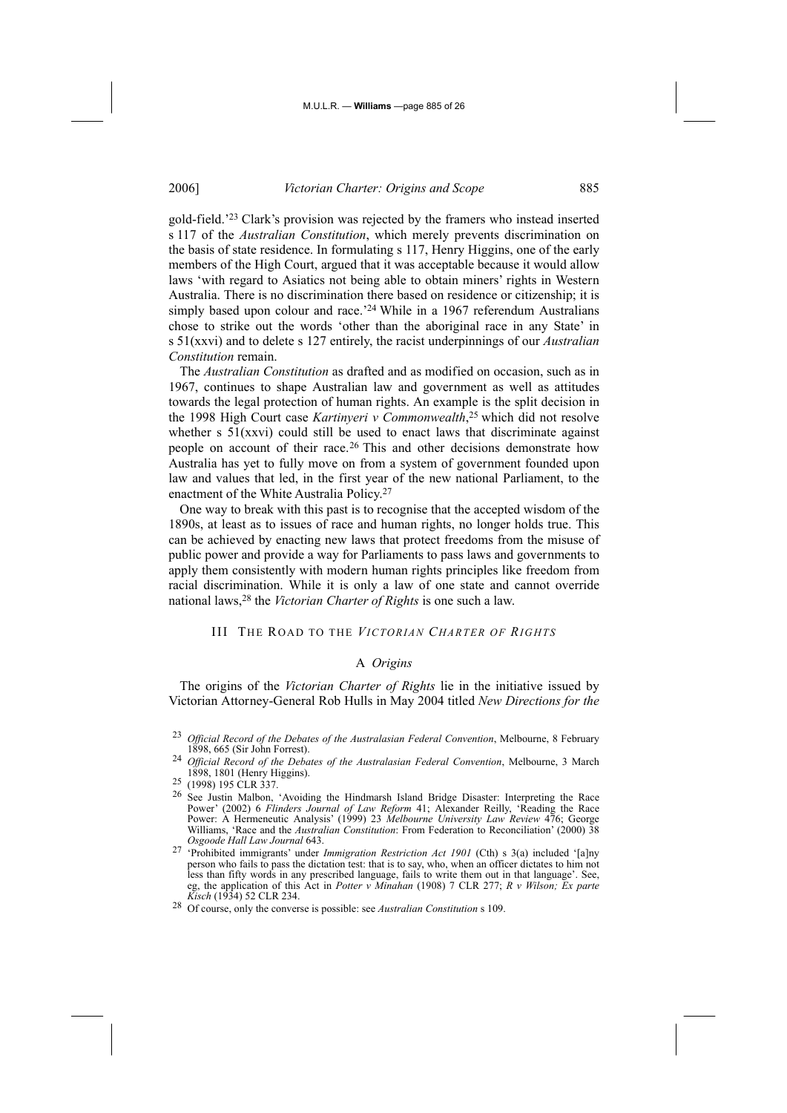gold-field.'23 Clark's provision was rejected by the framers who instead inserted s 117 of the *Australian Constitution*, which merely prevents discrimination on the basis of state residence. In formulating s 117, Henry Higgins, one of the early members of the High Court, argued that it was acceptable because it would allow laws 'with regard to Asiatics not being able to obtain miners' rights in Western Australia. There is no discrimination there based on residence or citizenship; it is simply based upon colour and race.'<sup>24</sup> While in a 1967 referendum Australians chose to strike out the words 'other than the aboriginal race in any State' in s 51(xxvi) and to delete s 127 entirely, the racist underpinnings of our *Australian Constitution* remain.

The *Australian Constitution* as drafted and as modified on occasion, such as in 1967, continues to shape Australian law and government as well as attitudes towards the legal protection of human rights. An example is the split decision in the 1998 High Court case *Kartinyeri v Commonwealth*, 25 which did not resolve whether s  $51(xxvi)$  could still be used to enact laws that discriminate against people on account of their race.26 This and other decisions demonstrate how Australia has yet to fully move on from a system of government founded upon law and values that led, in the first year of the new national Parliament, to the enactment of the White Australia Policy.27

One way to break with this past is to recognise that the accepted wisdom of the 1890s, at least as to issues of race and human rights, no longer holds true. This can be achieved by enacting new laws that protect freedoms from the misuse of public power and provide a way for Parliaments to pass laws and governments to apply them consistently with modern human rights principles like freedom from racial discrimination. While it is only a law of one state and cannot override national laws,28 the *Victorian Charter of Rights* is one such a law.

## III THE ROAD TO THE *VICTORIAN CHARTER OF RIGHTS*

## A *Origins*

The origins of the *Victorian Charter of Rights* lie in the initiative issued by Victorian Attorney-General Rob Hulls in May 2004 titled *New Directions for the* 

<sup>&</sup>lt;sup>23</sup> *Official Record of the Debates of the Australasian Federal Convention*, Melbourne, 8 February 1898, 665 (Sir John Forrest).

<sup>24</sup> *Official Record of the Debates of the Australasian Federal Convention*, Melbourne, 3 March 1898, 1801 (Henry Higgins).

<sup>25 (1998) 195</sup> CLR 337.<br><sup>26</sup> See Justin Malbon, 'Avoiding the Hindmarsh Island Bridge Disaster: Interpreting the Race Power' (2002) 6 *Flinders Journal of Law Reform* 41; Alexander Reilly, 'Reading the Race Power: A Hermeneutic Analysis' (1999) 23 *Melbourne University Law Review* 476; George Williams, 'Race and the *Australian Constitution*: From Federation to Reconciliation' (2000) 38 *Osgoode Hall Law Journal* 643.

<sup>27 &#</sup>x27;Prohibited immigrants' under *Immigration Restriction Act 1901* (Cth) s 3(a) included '[a]ny person who fails to pass the dictation test: that is to say, who, when an officer dictates to him not less than fifty words in any prescribed language, fails to write them out in that language'. See, eg, the application of this Act in *Potter v Minahan* (1908) 7 CLR 277; *R v Wilson; Ex parte* 

<sup>&</sup>lt;sup>28</sup> Of course, only the converse is possible: see *Australian Constitution* s 109.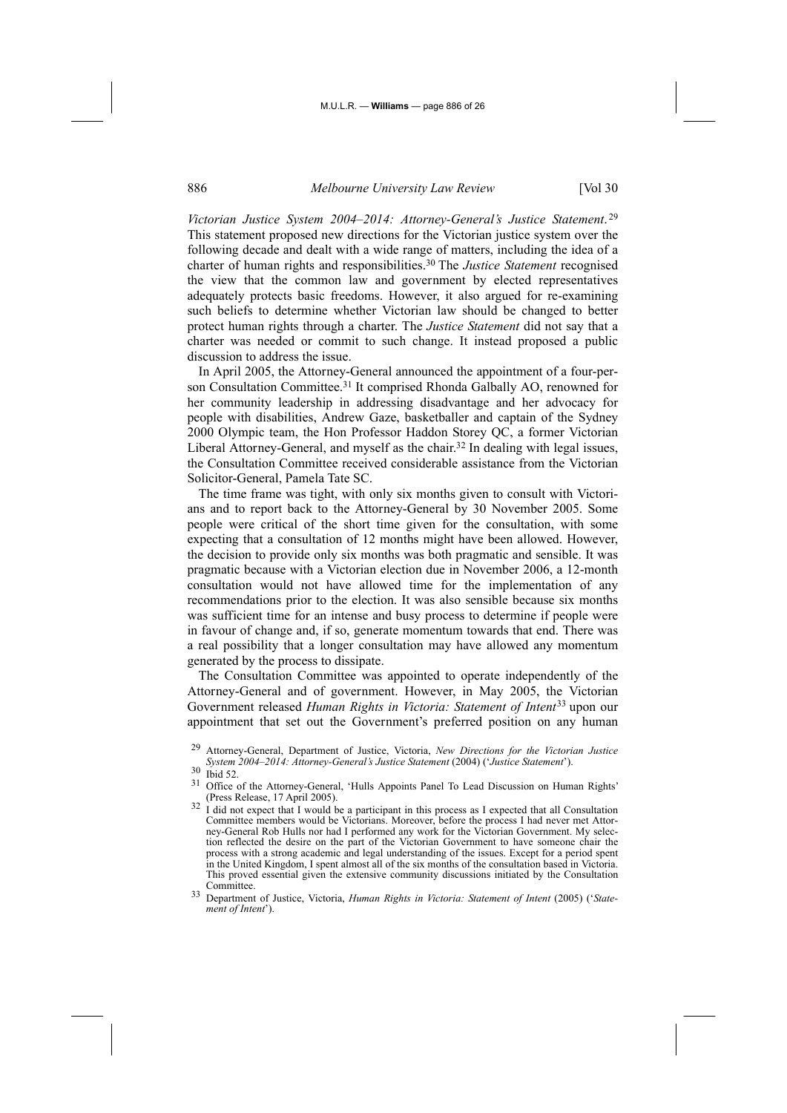*Victorian Justice System 2004–2014: Attorney-General's Justice Statement*. <sup>29</sup> This statement proposed new directions for the Victorian justice system over the following decade and dealt with a wide range of matters, including the idea of a charter of human rights and responsibilities.30 The *Justice Statement* recognised the view that the common law and government by elected representatives adequately protects basic freedoms. However, it also argued for re-examining such beliefs to determine whether Victorian law should be changed to better protect human rights through a charter. The *Justice Statement* did not say that a charter was needed or commit to such change. It instead proposed a public discussion to address the issue.

In April 2005, the Attorney-General announced the appointment of a four-person Consultation Committee.<sup>31</sup> It comprised Rhonda Galbally AO, renowned for her community leadership in addressing disadvantage and her advocacy for people with disabilities, Andrew Gaze, basketballer and captain of the Sydney 2000 Olympic team, the Hon Professor Haddon Storey QC, a former Victorian Liberal Attorney-General, and myself as the chair.<sup>32</sup> In dealing with legal issues, the Consultation Committee received considerable assistance from the Victorian Solicitor-General, Pamela Tate SC.

The time frame was tight, with only six months given to consult with Victorians and to report back to the Attorney-General by 30 November 2005. Some people were critical of the short time given for the consultation, with some expecting that a consultation of 12 months might have been allowed. However, the decision to provide only six months was both pragmatic and sensible. It was pragmatic because with a Victorian election due in November 2006, a 12-month consultation would not have allowed time for the implementation of any recommendations prior to the election. It was also sensible because six months was sufficient time for an intense and busy process to determine if people were in favour of change and, if so, generate momentum towards that end. There was a real possibility that a longer consultation may have allowed any momentum generated by the process to dissipate.

The Consultation Committee was appointed to operate independently of the Attorney-General and of government. However, in May 2005, the Victorian Government released *Human Rights in Victoria: Statement of Intent*33 upon our appointment that set out the Government's preferred position on any human

<sup>29</sup> Attorney-General, Department of Justice, Victoria, *New Directions for the Victorian Justice System 2004*–*2014: Attorney-General's Justice Statement* (2004) ('*Justice Statement*'). 30 Ibid 52.

Office of the Attorney-General, 'Hulls Appoints Panel To Lead Discussion on Human Rights' (Press Release, 17 April 2005). (Press Release, 17 April 2005).  $32 \text{ I}$  did not expect that I would be a participant in this process as I expected that all Consultation

Committee members would be Victorians. Moreover, before the process I had never met Attorney-General Rob Hulls nor had I performed any work for the Victorian Government. My selection reflected the desire on the part of the Victorian Government to have someone chair the process with a strong academic and legal understanding of the issues. Except for a period spent in the United Kingdom, I spent almost all of the six months of the consultation based in Victoria. This proved essential given the extensive community discussions initiated by the Consultation Committee.

<sup>33</sup> Department of Justice, Victoria, *Human Rights in Victoria: Statement of Intent* (2005) ('*Statement of Intent*').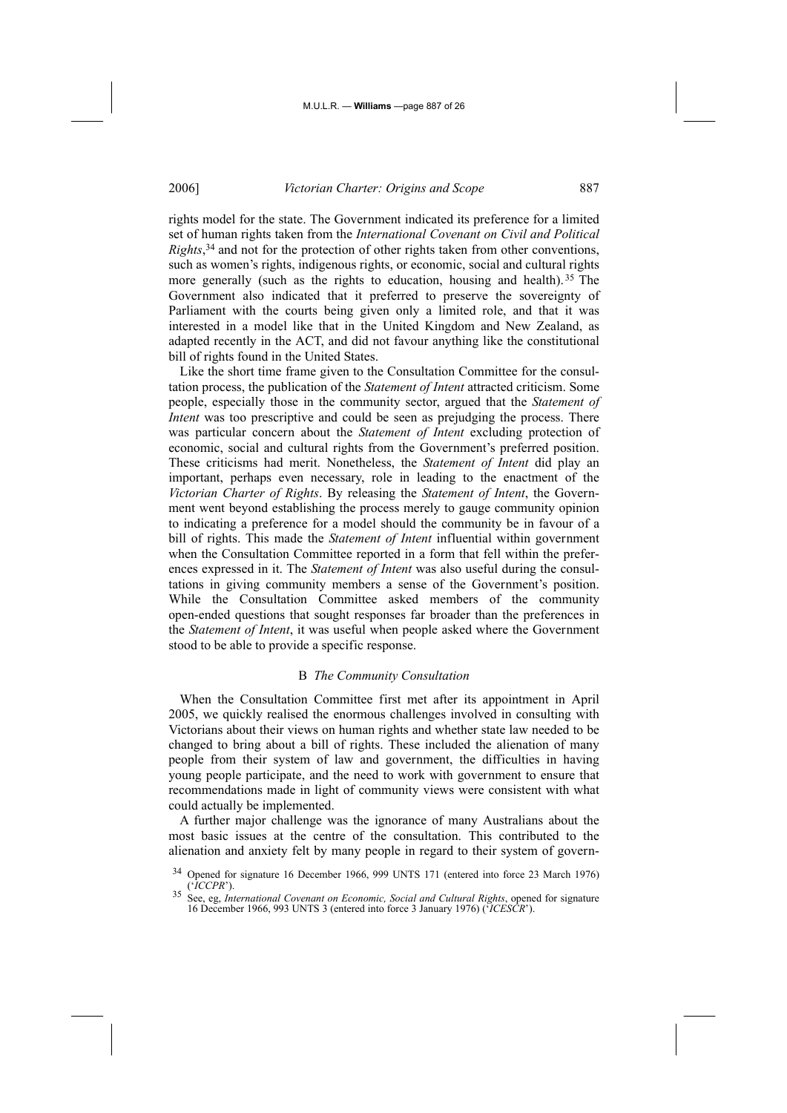rights model for the state. The Government indicated its preference for a limited set of human rights taken from the *International Covenant on Civil and Political Rights*, 34 and not for the protection of other rights taken from other conventions, such as women's rights, indigenous rights, or economic, social and cultural rights more generally (such as the rights to education, housing and health).<sup>35</sup> The Government also indicated that it preferred to preserve the sovereignty of Parliament with the courts being given only a limited role, and that it was interested in a model like that in the United Kingdom and New Zealand, as adapted recently in the ACT, and did not favour anything like the constitutional bill of rights found in the United States.

Like the short time frame given to the Consultation Committee for the consultation process, the publication of the *Statement of Intent* attracted criticism. Some people, especially those in the community sector, argued that the *Statement of Intent* was too prescriptive and could be seen as prejudging the process. There was particular concern about the *Statement of Intent* excluding protection of economic, social and cultural rights from the Government's preferred position. These criticisms had merit. Nonetheless, the *Statement of Intent* did play an important, perhaps even necessary, role in leading to the enactment of the *Victorian Charter of Rights*. By releasing the *Statement of Intent*, the Government went beyond establishing the process merely to gauge community opinion to indicating a preference for a model should the community be in favour of a bill of rights. This made the *Statement of Intent* influential within government when the Consultation Committee reported in a form that fell within the preferences expressed in it. The *Statement of Intent* was also useful during the consultations in giving community members a sense of the Government's position. While the Consultation Committee asked members of the community open-ended questions that sought responses far broader than the preferences in the *Statement of Intent*, it was useful when people asked where the Government stood to be able to provide a specific response.

#### B *The Community Consultation*

When the Consultation Committee first met after its appointment in April 2005, we quickly realised the enormous challenges involved in consulting with Victorians about their views on human rights and whether state law needed to be changed to bring about a bill of rights. These included the alienation of many people from their system of law and government, the difficulties in having young people participate, and the need to work with government to ensure that recommendations made in light of community views were consistent with what could actually be implemented.

A further major challenge was the ignorance of many Australians about the most basic issues at the centre of the consultation. This contributed to the alienation and anxiety felt by many people in regard to their system of govern-

Opened for signature 16 December 1966, 999 UNTS 171 (entered into force 23 March 1976) ('ICCPR').

<sup>(&#</sup>x27;*ICCPR*'). 35 See, eg, *International Covenant on Economic, Social and Cultural Rights*, opened for signature 16 December 1966, 993 UNTS 3 (entered into force 3 January 1976) ('*ICESCR*').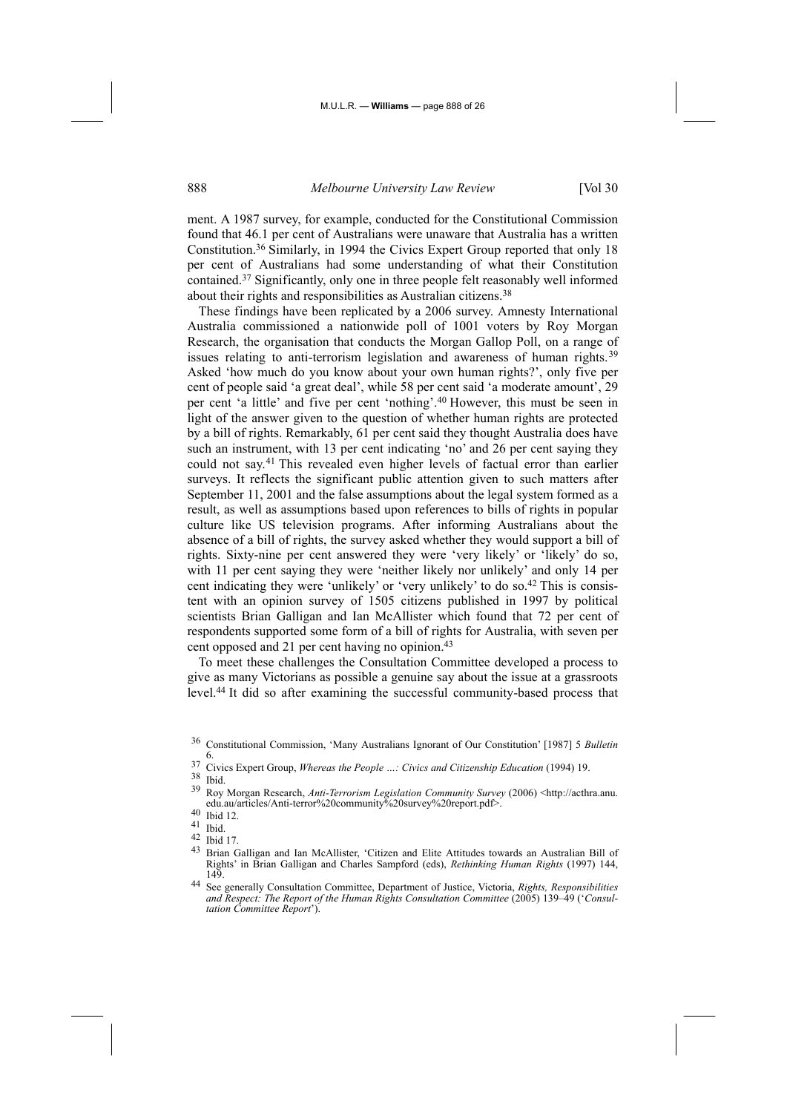ment. A 1987 survey, for example, conducted for the Constitutional Commission found that 46.1 per cent of Australians were unaware that Australia has a written Constitution.36 Similarly, in 1994 the Civics Expert Group reported that only 18 per cent of Australians had some understanding of what their Constitution contained.37 Significantly, only one in three people felt reasonably well informed about their rights and responsibilities as Australian citizens.38

These findings have been replicated by a 2006 survey. Amnesty International Australia commissioned a nationwide poll of 1001 voters by Roy Morgan Research, the organisation that conducts the Morgan Gallop Poll, on a range of issues relating to anti-terrorism legislation and awareness of human rights.<sup>39</sup> Asked 'how much do you know about your own human rights?', only five per cent of people said 'a great deal', while 58 per cent said 'a moderate amount', 29 per cent 'a little' and five per cent 'nothing'.40 However, this must be seen in light of the answer given to the question of whether human rights are protected by a bill of rights. Remarkably, 61 per cent said they thought Australia does have such an instrument, with 13 per cent indicating 'no' and 26 per cent saying they could not say.41 This revealed even higher levels of factual error than earlier surveys. It reflects the significant public attention given to such matters after September 11, 2001 and the false assumptions about the legal system formed as a result, as well as assumptions based upon references to bills of rights in popular culture like US television programs. After informing Australians about the absence of a bill of rights, the survey asked whether they would support a bill of rights. Sixty-nine per cent answered they were 'very likely' or 'likely' do so, with 11 per cent saying they were 'neither likely nor unlikely' and only 14 per cent indicating they were 'unlikely' or 'very unlikely' to do so.42 This is consistent with an opinion survey of 1505 citizens published in 1997 by political scientists Brian Galligan and Ian McAllister which found that 72 per cent of respondents supported some form of a bill of rights for Australia, with seven per cent opposed and 21 per cent having no opinion.<sup>43</sup>

To meet these challenges the Consultation Committee developed a process to give as many Victorians as possible a genuine say about the issue at a grassroots level.44 It did so after examining the successful community-based process that

<sup>36</sup> Constitutional Commission, 'Many Australians Ignorant of Our Constitution' [1987] 5 *Bulletin*

<sup>6.</sup>  37 Civics Expert Group, *Whereas the People …: Civics and Citizenship Education* (1994) 19. 38 Ibid.

<sup>39</sup> Roy Morgan Research, *Anti-Terrorism Legislation Community Survey* (2006) <http://acthra.anu. edu.au/articles/Anti-terror%20community%20survey%20report.pdf>.<br>Ibid 12.

 $\frac{41}{42}$  Ibid.

 $\frac{42}{43}$  Ibid 17.

<sup>43</sup> Brian Galligan and Ian McAllister, 'Citizen and Elite Attitudes towards an Australian Bill of Rights' in Brian Galligan and Charles Sampford (eds), *Rethinking Human Rights* (1997) 144, 149.

<sup>44</sup> See generally Consultation Committee, Department of Justice, Victoria, *Rights, Responsibilities and Respect: The Report of the Human Rights Consultation Committee* (2005) 139–49 ('*Consultation Committee Report*').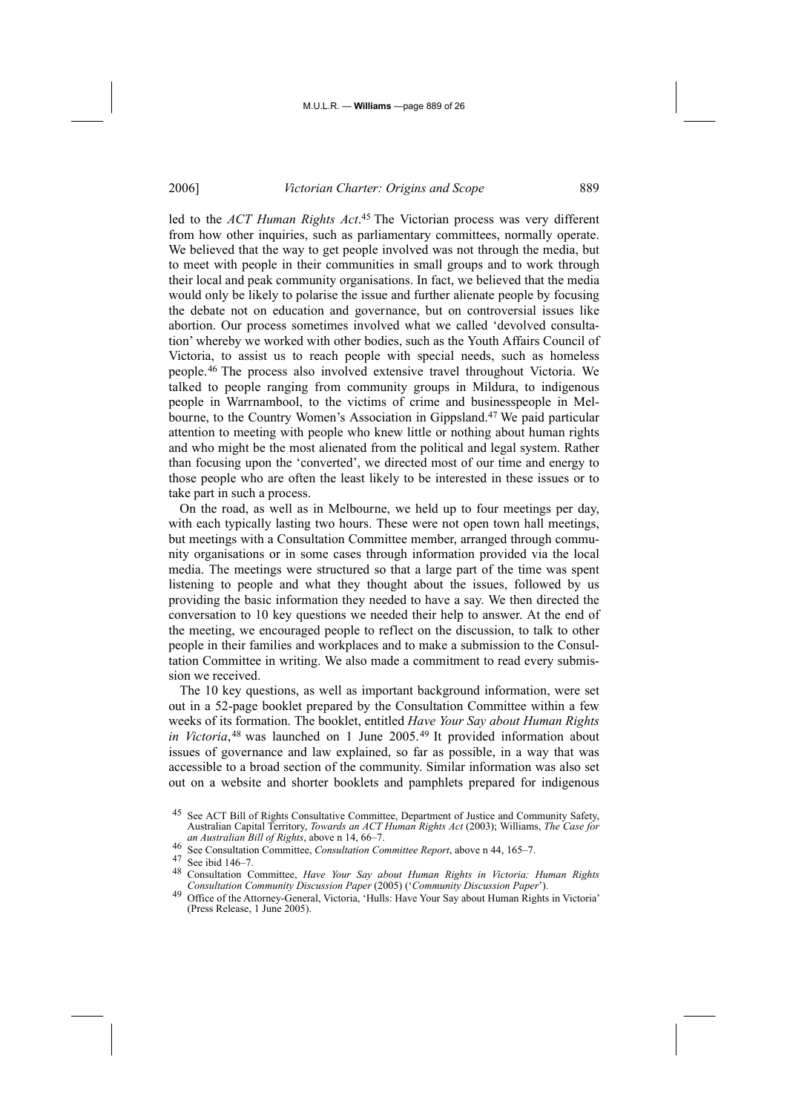led to the *ACT Human Rights Act*. 45 The Victorian process was very different from how other inquiries, such as parliamentary committees, normally operate. We believed that the way to get people involved was not through the media, but to meet with people in their communities in small groups and to work through their local and peak community organisations. In fact, we believed that the media would only be likely to polarise the issue and further alienate people by focusing the debate not on education and governance, but on controversial issues like abortion. Our process sometimes involved what we called 'devolved consultation' whereby we worked with other bodies, such as the Youth Affairs Council of Victoria, to assist us to reach people with special needs, such as homeless people.46 The process also involved extensive travel throughout Victoria. We talked to people ranging from community groups in Mildura, to indigenous people in Warrnambool, to the victims of crime and businesspeople in Melbourne, to the Country Women's Association in Gippsland.47 We paid particular attention to meeting with people who knew little or nothing about human rights and who might be the most alienated from the political and legal system. Rather than focusing upon the 'converted', we directed most of our time and energy to those people who are often the least likely to be interested in these issues or to take part in such a process.

On the road, as well as in Melbourne, we held up to four meetings per day, with each typically lasting two hours. These were not open town hall meetings, but meetings with a Consultation Committee member, arranged through community organisations or in some cases through information provided via the local media. The meetings were structured so that a large part of the time was spent listening to people and what they thought about the issues, followed by us providing the basic information they needed to have a say. We then directed the conversation to 10 key questions we needed their help to answer. At the end of the meeting, we encouraged people to reflect on the discussion, to talk to other people in their families and workplaces and to make a submission to the Consultation Committee in writing. We also made a commitment to read every submission we received.

The 10 key questions, as well as important background information, were set out in a 52-page booklet prepared by the Consultation Committee within a few weeks of its formation. The booklet, entitled *Have Your Say about Human Rights in Victoria*,<sup>48</sup> was launched on 1 June 2005.<sup>49</sup> It provided information about issues of governance and law explained, so far as possible, in a way that was accessible to a broad section of the community. Similar information was also set out on a website and shorter booklets and pamphlets prepared for indigenous

46 See Consultation Committee, *Consultation Committee Report*, above n 44, 165–7.

48 Consultation Committee, *Have Your Say about Human Rights in Victoria: Human Rights* 

<sup>45</sup> See ACT Bill of Rights Consultative Committee, Department of Justice and Community Safety, Australian Capital Territory, *Towards an ACT Human Rights Act* (2003); Williams, *The Case for an Australian Bill of Rights*, above n 14, 66–7.

See ibid 146–7.

Office of the Attorney-General, Victoria, 'Hulls: Have Your Say about Human Rights in Victoria' (Press Release, 1 June 2005).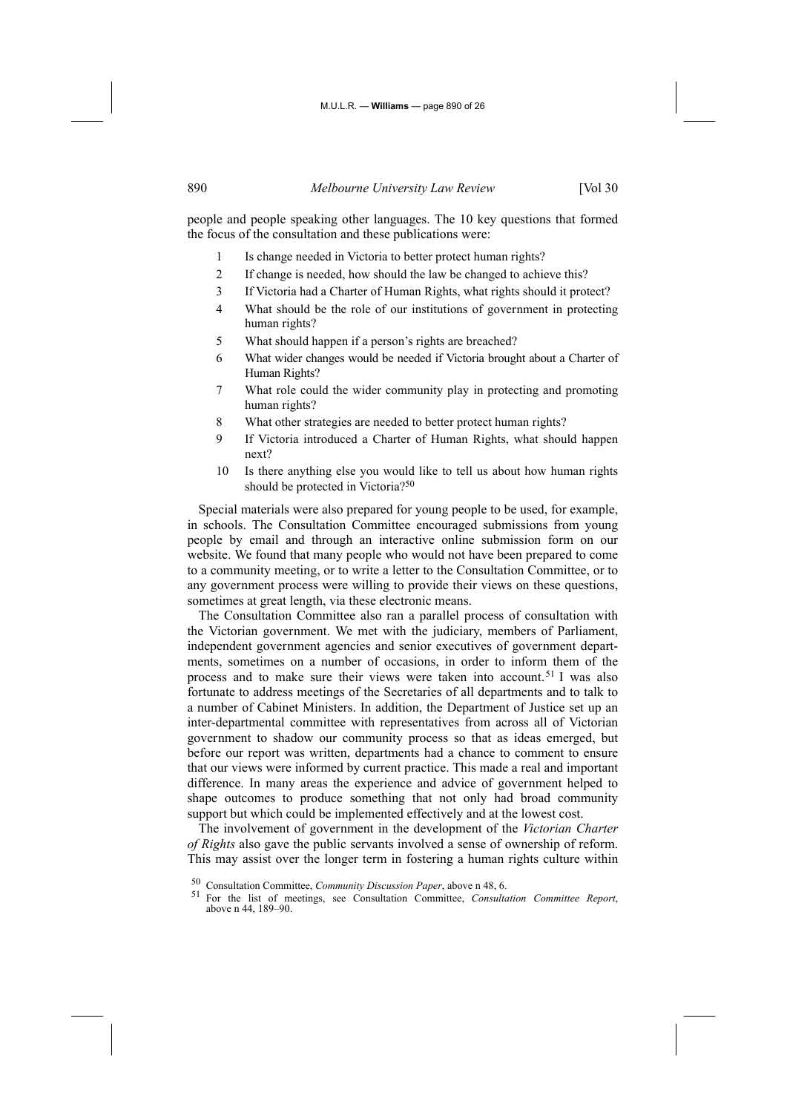people and people speaking other languages. The 10 key questions that formed the focus of the consultation and these publications were:

- 1 Is change needed in Victoria to better protect human rights?
- 2 If change is needed, how should the law be changed to achieve this?
- 3 If Victoria had a Charter of Human Rights, what rights should it protect?
- 4 What should be the role of our institutions of government in protecting human rights?
- 5 What should happen if a person's rights are breached?
- 6 What wider changes would be needed if Victoria brought about a Charter of Human Rights?
- 7 What role could the wider community play in protecting and promoting human rights?
- 8 What other strategies are needed to better protect human rights?
- 9 If Victoria introduced a Charter of Human Rights, what should happen next?
- 10 Is there anything else you would like to tell us about how human rights should be protected in Victoria?<sup>50</sup>

Special materials were also prepared for young people to be used, for example, in schools. The Consultation Committee encouraged submissions from young people by email and through an interactive online submission form on our website. We found that many people who would not have been prepared to come to a community meeting, or to write a letter to the Consultation Committee, or to any government process were willing to provide their views on these questions, sometimes at great length, via these electronic means.

The Consultation Committee also ran a parallel process of consultation with the Victorian government. We met with the judiciary, members of Parliament, independent government agencies and senior executives of government departments, sometimes on a number of occasions, in order to inform them of the process and to make sure their views were taken into account.<sup>51</sup> I was also fortunate to address meetings of the Secretaries of all departments and to talk to a number of Cabinet Ministers. In addition, the Department of Justice set up an inter-departmental committee with representatives from across all of Victorian government to shadow our community process so that as ideas emerged, but before our report was written, departments had a chance to comment to ensure that our views were informed by current practice. This made a real and important difference. In many areas the experience and advice of government helped to shape outcomes to produce something that not only had broad community support but which could be implemented effectively and at the lowest cost.

The involvement of government in the development of the *Victorian Charter of Rights* also gave the public servants involved a sense of ownership of reform. This may assist over the longer term in fostering a human rights culture within

<sup>50</sup> Consultation Committee, *Community Discussion Paper*, above n 48, 6.

<sup>51</sup> For the list of meetings, see Consultation Committee, *Consultation Committee Report*, above n 44, 189–90.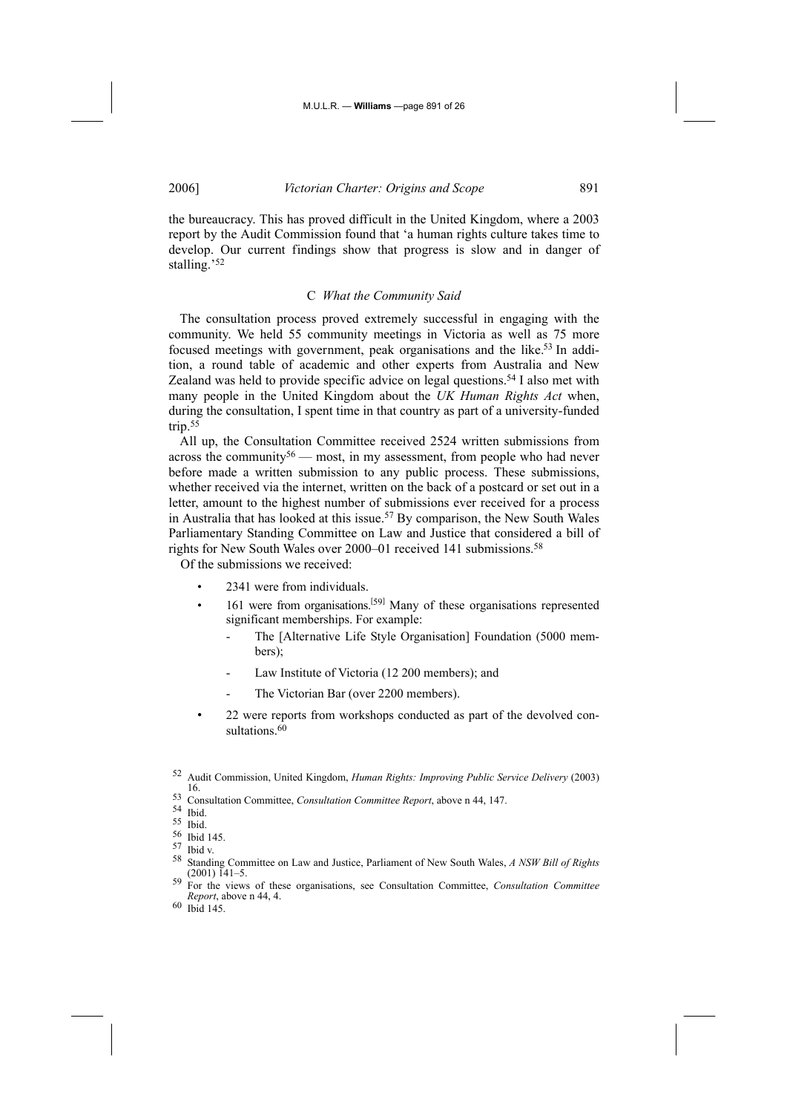the bureaucracy. This has proved difficult in the United Kingdom, where a 2003 report by the Audit Commission found that 'a human rights culture takes time to develop. Our current findings show that progress is slow and in danger of stalling.'52

#### C *What the Community Said*

The consultation process proved extremely successful in engaging with the community. We held 55 community meetings in Victoria as well as 75 more focused meetings with government, peak organisations and the like.53 In addition, a round table of academic and other experts from Australia and New Zealand was held to provide specific advice on legal questions.54 I also met with many people in the United Kingdom about the *UK Human Rights Act* when, during the consultation, I spent time in that country as part of a university-funded trip.55

All up, the Consultation Committee received 2524 written submissions from across the community<sup>56</sup> — most, in my assessment, from people who had never before made a written submission to any public process. These submissions, whether received via the internet, written on the back of a postcard or set out in a letter, amount to the highest number of submissions ever received for a process in Australia that has looked at this issue.57 By comparison, the New South Wales Parliamentary Standing Committee on Law and Justice that considered a bill of rights for New South Wales over 2000–01 received 141 submissions.<sup>58</sup>

Of the submissions we received:

- 2341 were from individuals.
- 161 were from organisations.<sup>[59]</sup> Many of these organisations represented significant memberships. For example:
	- The [Alternative Life Style Organisation] Foundation (5000 members);
	- Law Institute of Victoria (12 200 members); and
	- The Victorian Bar (over 2200 members).
- 22 were reports from workshops conducted as part of the devolved consultations.<sup>60</sup>

<sup>58</sup> Standing Committee on Law and Justice, Parliament of New South Wales, *A NSW Bill of Rights* (2001) 141–5. 59 For the views of these organisations, see Consultation Committee, *Consultation Committee* 

<sup>52</sup> Audit Commission, United Kingdom, *Human Rights: Improving Public Service Delivery* (2003) 16.

<sup>53</sup> Consultation Committee, *Consultation Committee Report*, above n 44, 147.

<sup>54</sup> Ibid.

<sup>55</sup> Ibid.

 $\frac{56}{57}$  Ibid 145.

 $\frac{57}{58}$  Ibid v.

*Report*, above n 44, 4.

<sup>60</sup> Ibid 145.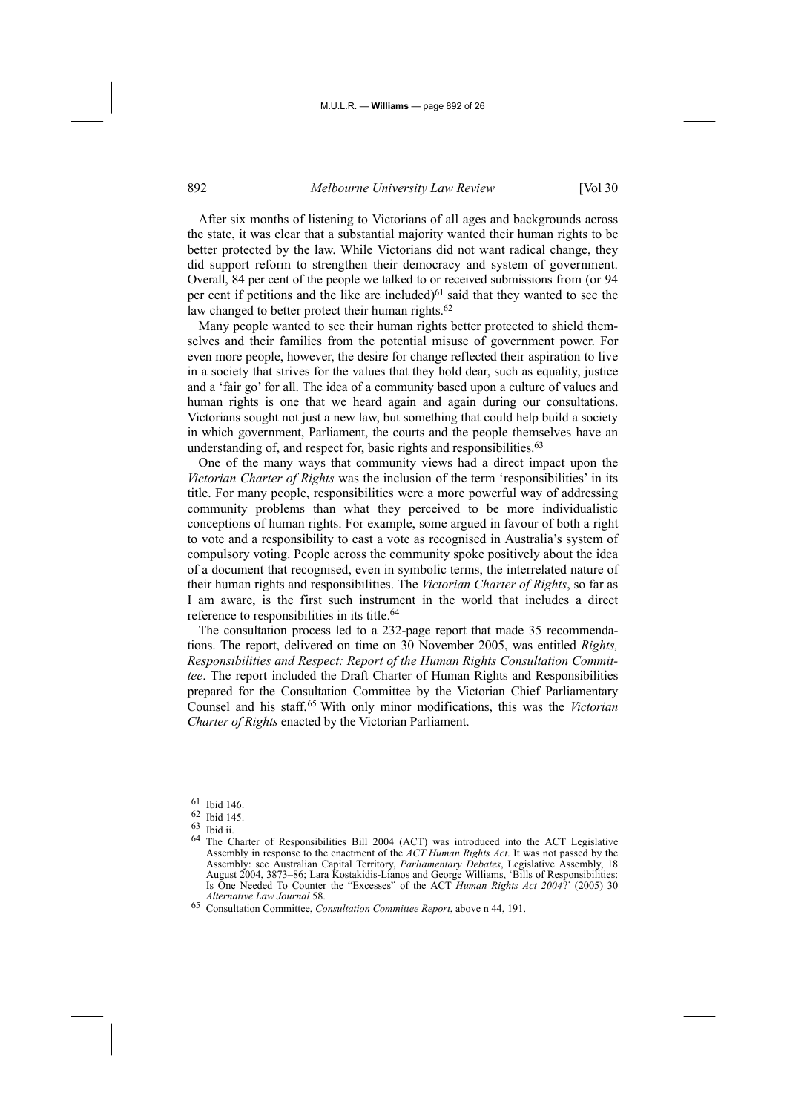After six months of listening to Victorians of all ages and backgrounds across the state, it was clear that a substantial majority wanted their human rights to be better protected by the law. While Victorians did not want radical change, they did support reform to strengthen their democracy and system of government. Overall, 84 per cent of the people we talked to or received submissions from (or 94 per cent if petitions and the like are included)<sup>61</sup> said that they wanted to see the law changed to better protect their human rights.<sup>62</sup>

Many people wanted to see their human rights better protected to shield themselves and their families from the potential misuse of government power. For even more people, however, the desire for change reflected their aspiration to live in a society that strives for the values that they hold dear, such as equality, justice and a 'fair go' for all. The idea of a community based upon a culture of values and human rights is one that we heard again and again during our consultations. Victorians sought not just a new law, but something that could help build a society in which government, Parliament, the courts and the people themselves have an understanding of, and respect for, basic rights and responsibilities.<sup>63</sup>

One of the many ways that community views had a direct impact upon the *Victorian Charter of Rights* was the inclusion of the term 'responsibilities' in its title. For many people, responsibilities were a more powerful way of addressing community problems than what they perceived to be more individualistic conceptions of human rights. For example, some argued in favour of both a right to vote and a responsibility to cast a vote as recognised in Australia's system of compulsory voting. People across the community spoke positively about the idea of a document that recognised, even in symbolic terms, the interrelated nature of their human rights and responsibilities. The *Victorian Charter of Rights*, so far as I am aware, is the first such instrument in the world that includes a direct reference to responsibilities in its title.<sup>64</sup>

The consultation process led to a 232-page report that made 35 recommendations. The report, delivered on time on 30 November 2005, was entitled *Rights, Responsibilities and Respect: Report of the Human Rights Consultation Committee*. The report included the Draft Charter of Human Rights and Responsibilities prepared for the Consultation Committee by the Victorian Chief Parliamentary Counsel and his staff.65 With only minor modifications, this was the *Victorian Charter of Rights* enacted by the Victorian Parliament.

61 Ibid 146.

<sup>62</sup> Ibid 145.

<sup>63</sup> Ibid ii.

<sup>64</sup> The Charter of Responsibilities Bill 2004 (ACT) was introduced into the ACT Legislative Assembly in response to the enactment of the *ACT Human Rights Act*. It was not passed by the Assembly: see Australian Capital Territory, *Parliamentary Debates*, Legislative Assembly, 18 August 2004, 3873-86; Lara Kostakidis-Lianos and George Williams, 'Bills of Responsibilities: Is One Needed To Counter the "Excesses" of the ACT *Human Rights Act 2004*?' (2005) 30 *Alternative Law Journal* 58.

<sup>65</sup> Consultation Committee, *Consultation Committee Report*, above n 44, 191.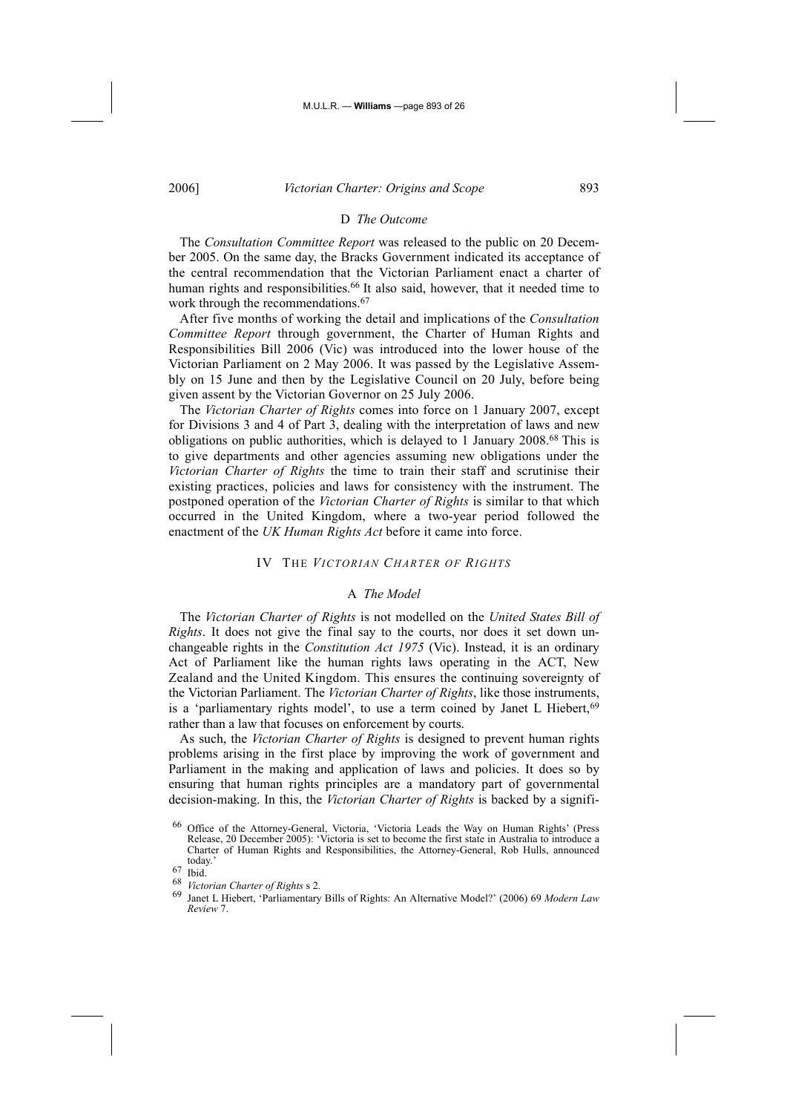## D *The Outcome*

The *Consultation Committee Report* was released to the public on 20 December 2005. On the same day, the Bracks Government indicated its acceptance of the central recommendation that the Victorian Parliament enact a charter of human rights and responsibilities.<sup>66</sup> It also said, however, that it needed time to work through the recommendations.<sup>67</sup>

After five months of working the detail and implications of the *Consultation Committee Report* through government, the Charter of Human Rights and Responsibilities Bill 2006 (Vic) was introduced into the lower house of the Victorian Parliament on 2 May 2006. It was passed by the Legislative Assembly on 15 June and then by the Legislative Council on 20 July, before being given assent by the Victorian Governor on 25 July 2006.

The *Victorian Charter of Rights* comes into force on 1 January 2007, except for Divisions 3 and 4 of Part 3, dealing with the interpretation of laws and new obligations on public authorities, which is delayed to 1 January 2008.68 This is to give departments and other agencies assuming new obligations under the *Victorian Charter of Rights* the time to train their staff and scrutinise their existing practices, policies and laws for consistency with the instrument. The postponed operation of the *Victorian Charter of Rights* is similar to that which occurred in the United Kingdom, where a two-year period followed the enactment of the *UK Human Rights Act* before it came into force.

#### IV THE *VICTORIAN CHARTER OF RIGHTS*

#### A *The Model*

The *Victorian Charter of Rights* is not modelled on the *United States Bill of Rights*. It does not give the final say to the courts, nor does it set down unchangeable rights in the *Constitution Act 1975* (Vic). Instead, it is an ordinary Act of Parliament like the human rights laws operating in the ACT, New Zealand and the United Kingdom. This ensures the continuing sovereignty of the Victorian Parliament. The *Victorian Charter of Rights*, like those instruments, is a 'parliamentary rights model', to use a term coined by Janet L Hiebert, <sup>69</sup> rather than a law that focuses on enforcement by courts.

As such, the *Victorian Charter of Rights* is designed to prevent human rights problems arising in the first place by improving the work of government and Parliament in the making and application of laws and policies. It does so by ensuring that human rights principles are a mandatory part of governmental decision-making. In this, the *Victorian Charter of Rights* is backed by a signifi-

<sup>66</sup> Office of the Attorney-General, Victoria, 'Victoria Leads the Way on Human Rights' (Press Release, 20 December 2005): 'Victoria is set to become the first state in Australia to introduce a Charter of Human Rights and Responsibilities, the Attorney-General, Rob Hulls, announced today.<br>  $67$  Ibid.<br>  $68$  *U*<sub>istan</sub>

<sup>68</sup> *Victorian Charter of Rights* s 2.

<sup>69</sup> Janet L Hiebert, 'Parliamentary Bills of Rights: An Alternative Model?' (2006) 69 *Modern Law Review* 7.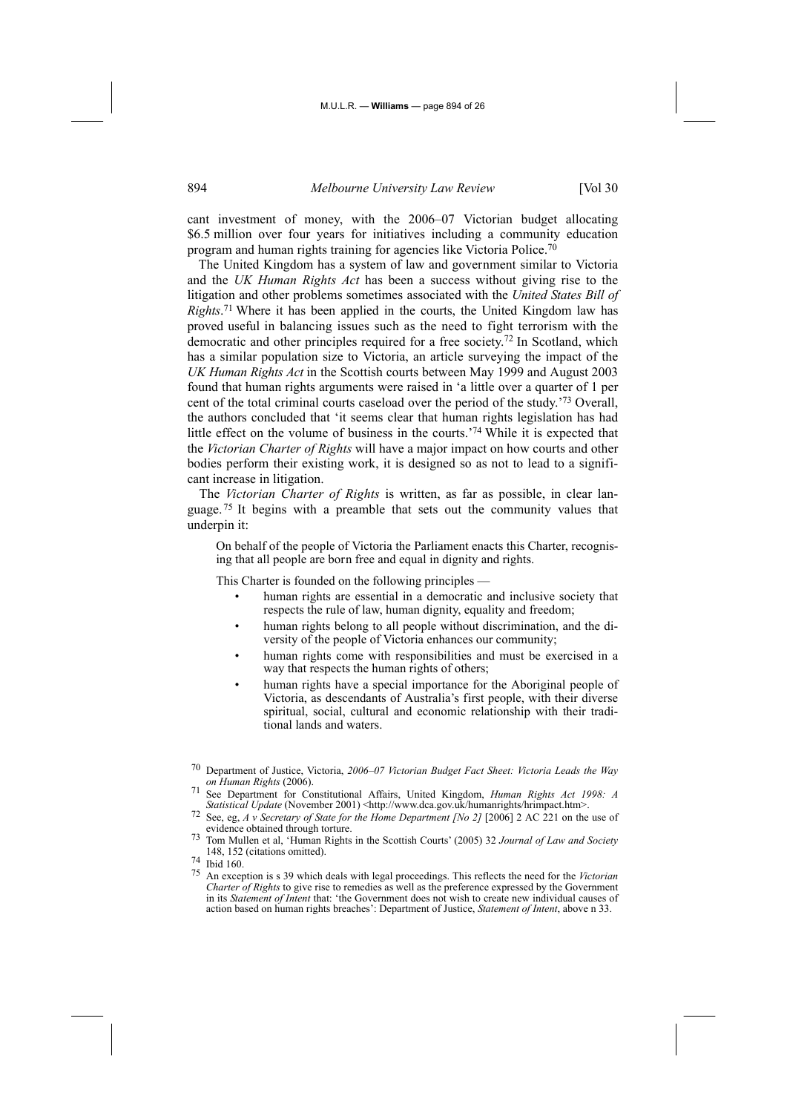cant investment of money, with the 2006–07 Victorian budget allocating \$6.5 million over four years for initiatives including a community education program and human rights training for agencies like Victoria Police.70

The United Kingdom has a system of law and government similar to Victoria and the *UK Human Rights Act* has been a success without giving rise to the litigation and other problems sometimes associated with the *United States Bill of Rights*. 71 Where it has been applied in the courts, the United Kingdom law has proved useful in balancing issues such as the need to fight terrorism with the democratic and other principles required for a free society.72 In Scotland, which has a similar population size to Victoria, an article surveying the impact of the *UK Human Rights Act* in the Scottish courts between May 1999 and August 2003 found that human rights arguments were raised in 'a little over a quarter of 1 per cent of the total criminal courts caseload over the period of the study.'73 Overall, the authors concluded that 'it seems clear that human rights legislation has had little effect on the volume of business in the courts.'74 While it is expected that the *Victorian Charter of Rights* will have a major impact on how courts and other bodies perform their existing work, it is designed so as not to lead to a significant increase in litigation.

The *Victorian Charter of Rights* is written, as far as possible, in clear language. 75 It begins with a preamble that sets out the community values that underpin it:

On behalf of the people of Victoria the Parliament enacts this Charter, recognising that all people are born free and equal in dignity and rights.

This Charter is founded on the following principles —

- human rights are essential in a democratic and inclusive society that respects the rule of law, human dignity, equality and freedom;
- human rights belong to all people without discrimination, and the diversity of the people of Victoria enhances our community;
- human rights come with responsibilities and must be exercised in a way that respects the human rights of others;
- human rights have a special importance for the Aboriginal people of Victoria, as descendants of Australia's first people, with their diverse spiritual, social, cultural and economic relationship with their traditional lands and waters.

<sup>70</sup> Department of Justice, Victoria, *2006–07 Victorian Budget Fact Sheet: Victoria Leads the Way* 

See Department for Constitutional Affairs, United Kingdom, *Human Rights Act 1998: A Statistical Update* (November 2001) <http://www.dca.gov.uk/humanrights/hrimpact.htm>.

Statistical Update (November 2001) Analysis www.dca.gov.uk/humanisms/himpact.htm .<br> *State eg, A v Secretary of State for the Home Department [No 2]* [2006] 2 AC 221 on the use of evidence obtained through torture.

Tom Mullen et al, 'Human Rights in the Scottish Courts' (2005) 32 *Journal of Law and Society* 148, 152 (citations omitted)<br>  $^{74}$  Ibid 160.<br>  $^{75}$  An expection is a 20 which

<sup>75</sup> An exception is s 39 which deals with legal proceedings. This reflects the need for the *Victorian Charter of Rights* to give rise to remedies as well as the preference expressed by the Government in its *Statement of Intent* that: 'the Government does not wish to create new individual causes of action based on human rights breaches': Department of Justice, *Statement of Intent*, above n 33.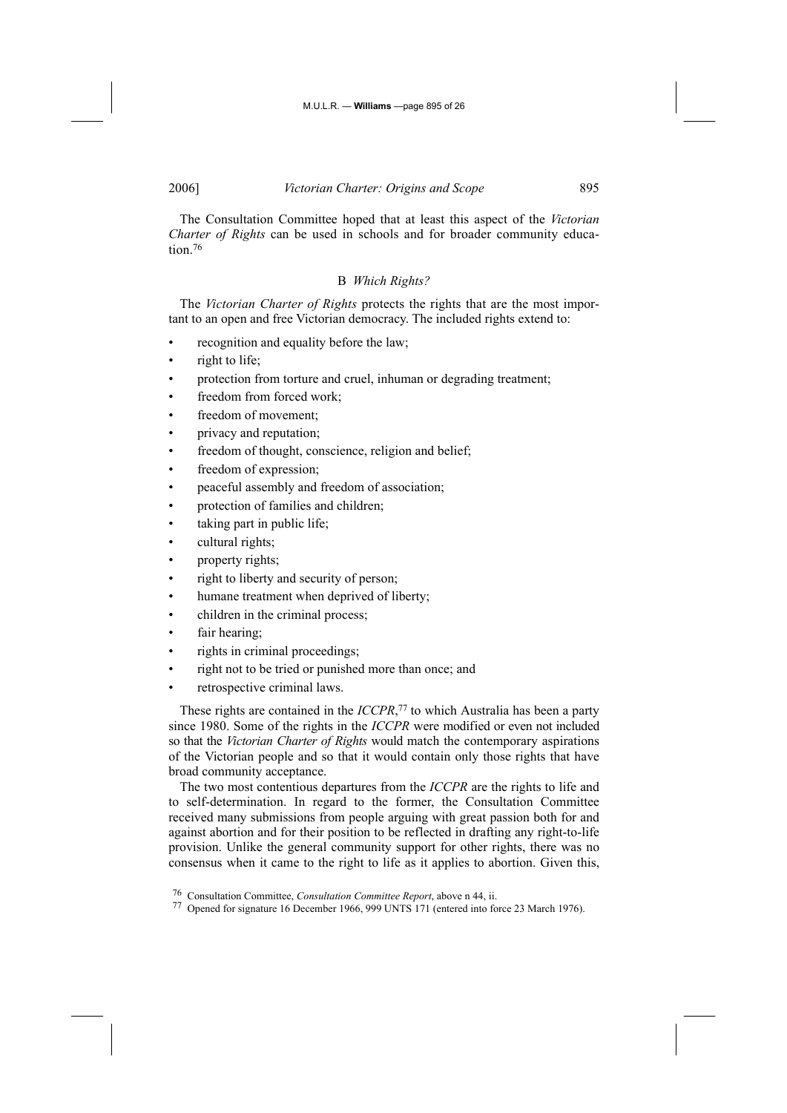The Consultation Committee hoped that at least this aspect of the *Victorian Charter of Rights* can be used in schools and for broader community education<sup>76</sup>

## B *Which Rights?*

The *Victorian Charter of Rights* protects the rights that are the most important to an open and free Victorian democracy. The included rights extend to:

- recognition and equality before the law;
- right to life;
- protection from torture and cruel, inhuman or degrading treatment;
- freedom from forced work;
- freedom of movement;
- privacy and reputation;
- freedom of thought, conscience, religion and belief;
- freedom of expression;
- peaceful assembly and freedom of association;
- protection of families and children;
- taking part in public life;
- cultural rights;
- property rights;
- right to liberty and security of person;
- humane treatment when deprived of liberty;
- children in the criminal process;
- fair hearing;
- rights in criminal proceedings;
- right not to be tried or punished more than once; and
- retrospective criminal laws.

These rights are contained in the *ICCPR*, 77 to which Australia has been a party since 1980. Some of the rights in the *ICCPR* were modified or even not included so that the *Victorian Charter of Rights* would match the contemporary aspirations of the Victorian people and so that it would contain only those rights that have broad community acceptance.

The two most contentious departures from the *ICCPR* are the rights to life and to self-determination. In regard to the former, the Consultation Committee received many submissions from people arguing with great passion both for and against abortion and for their position to be reflected in drafting any right-to-life provision. Unlike the general community support for other rights, there was no consensus when it came to the right to life as it applies to abortion. Given this,

<sup>76</sup> Consultation Committee, *Consultation Committee Report*, above n 44, ii.

<sup>77</sup> Opened for signature 16 December 1966, 999 UNTS 171 (entered into force 23 March 1976).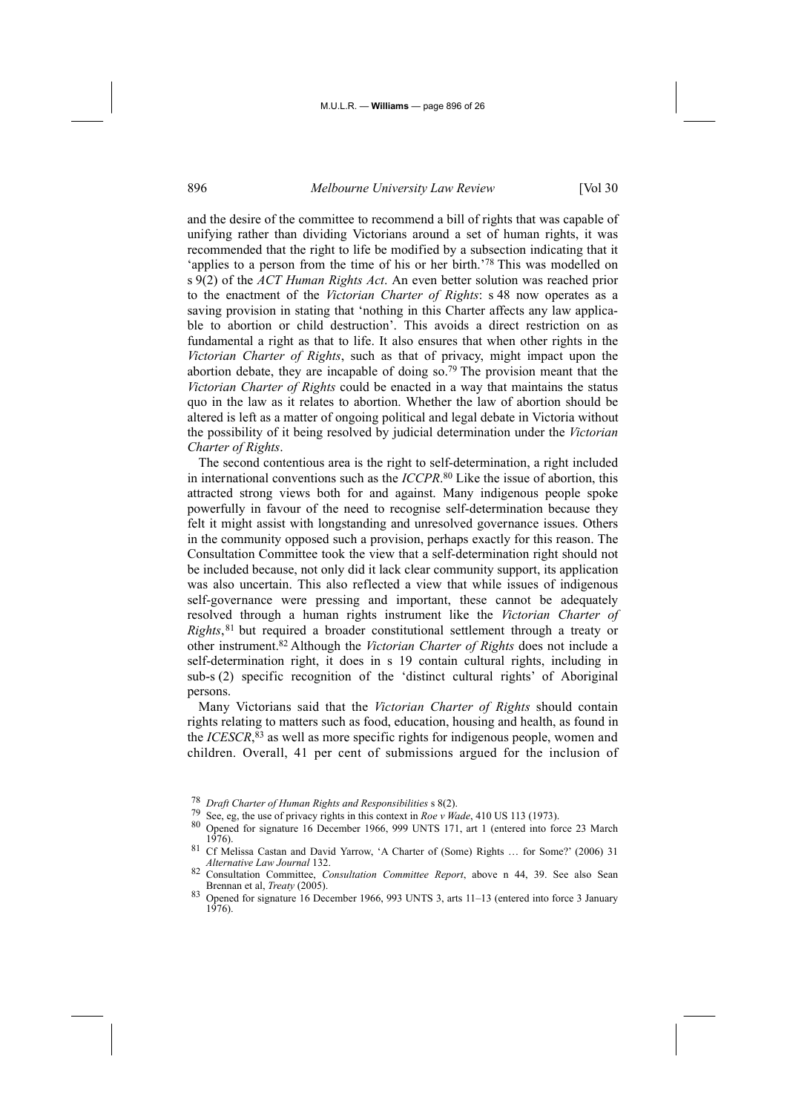and the desire of the committee to recommend a bill of rights that was capable of unifying rather than dividing Victorians around a set of human rights, it was recommended that the right to life be modified by a subsection indicating that it 'applies to a person from the time of his or her birth.'78 This was modelled on s 9(2) of the *ACT Human Rights Act*. An even better solution was reached prior to the enactment of the *Victorian Charter of Rights*: s 48 now operates as a saving provision in stating that 'nothing in this Charter affects any law applicable to abortion or child destruction'. This avoids a direct restriction on as fundamental a right as that to life. It also ensures that when other rights in the *Victorian Charter of Rights*, such as that of privacy, might impact upon the abortion debate, they are incapable of doing so.79 The provision meant that the *Victorian Charter of Rights* could be enacted in a way that maintains the status quo in the law as it relates to abortion. Whether the law of abortion should be altered is left as a matter of ongoing political and legal debate in Victoria without the possibility of it being resolved by judicial determination under the *Victorian Charter of Rights*.

The second contentious area is the right to self-determination, a right included in international conventions such as the *ICCPR*. 80 Like the issue of abortion, this attracted strong views both for and against. Many indigenous people spoke powerfully in favour of the need to recognise self-determination because they felt it might assist with longstanding and unresolved governance issues. Others in the community opposed such a provision, perhaps exactly for this reason. The Consultation Committee took the view that a self-determination right should not be included because, not only did it lack clear community support, its application was also uncertain. This also reflected a view that while issues of indigenous self-governance were pressing and important, these cannot be adequately resolved through a human rights instrument like the *Victorian Charter of Rights*,81 but required a broader constitutional settlement through a treaty or other instrument.82 Although the *Victorian Charter of Rights* does not include a self-determination right, it does in s 19 contain cultural rights, including in sub-s (2) specific recognition of the 'distinct cultural rights' of Aboriginal persons.

Many Victorians said that the *Victorian Charter of Rights* should contain rights relating to matters such as food, education, housing and health, as found in the *ICESCR*, 83 as well as more specific rights for indigenous people, women and children. Overall, 41 per cent of submissions argued for the inclusion of

<sup>&</sup>lt;sup>78</sup> Draft Charter of Human Rights and Responsibilities s 8(2).<br>
<sup>79</sup> See, eg, the use of privacy rights in this context in Roe v Wade, 410 US 113 (1973).<br>
<sup>80</sup> Opened for signature 16 December 1966, 999 UNTS 171, art 1 (e

<sup>81</sup> Cf Melissa Castan and David Yarrow, 'A Charter of (Some) Rights ... for Some?' (2006) 31 *Alternative Law Journal* 132.

<sup>82</sup> Consultation Committee, *Consultation Committee Report*, above n 44, 39. See also Sean

<sup>83</sup> Opened for signature 16 December 1966, 993 UNTS 3, arts 11–13 (entered into force 3 January 1976).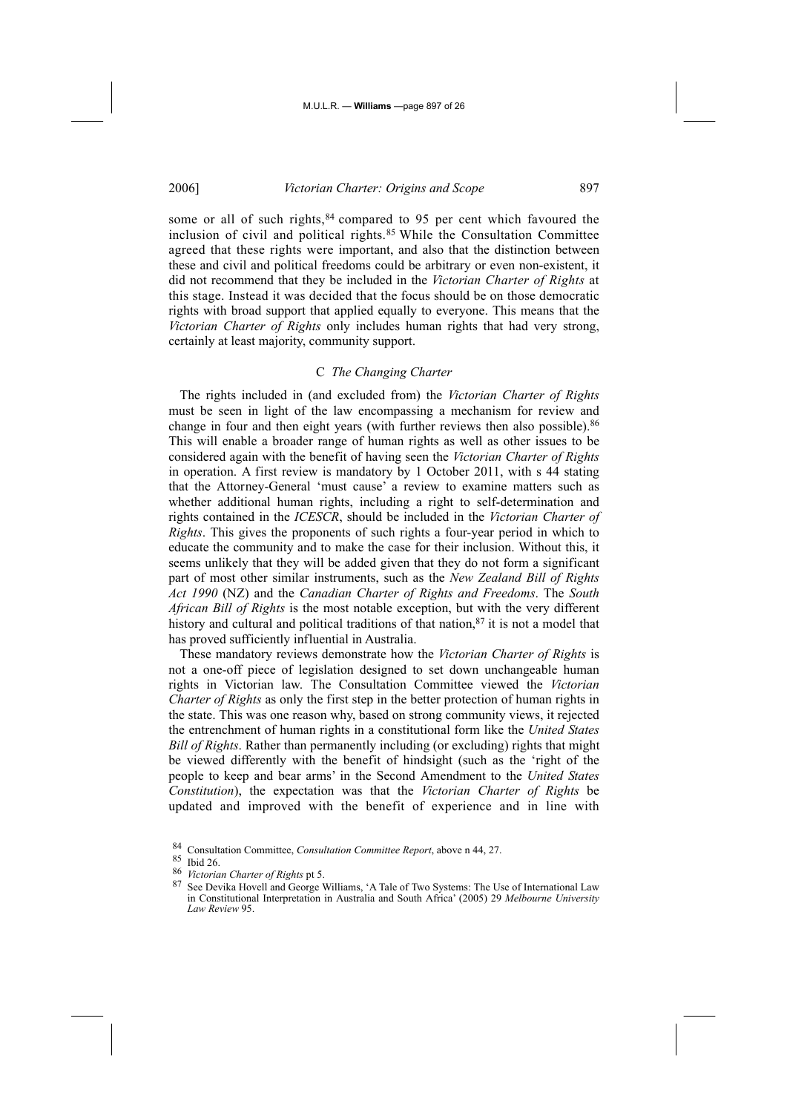some or all of such rights, <sup>84</sup> compared to 95 per cent which favoured the inclusion of civil and political rights.<sup>85</sup> While the Consultation Committee agreed that these rights were important, and also that the distinction between these and civil and political freedoms could be arbitrary or even non-existent, it did not recommend that they be included in the *Victorian Charter of Rights* at this stage. Instead it was decided that the focus should be on those democratic rights with broad support that applied equally to everyone. This means that the *Victorian Charter of Rights* only includes human rights that had very strong, certainly at least majority, community support.

## C *The Changing Charter*

The rights included in (and excluded from) the *Victorian Charter of Rights* must be seen in light of the law encompassing a mechanism for review and change in four and then eight years (with further reviews then also possible).<sup>86</sup> This will enable a broader range of human rights as well as other issues to be considered again with the benefit of having seen the *Victorian Charter of Rights* in operation. A first review is mandatory by 1 October 2011, with s 44 stating that the Attorney-General 'must cause' a review to examine matters such as whether additional human rights, including a right to self-determination and rights contained in the *ICESCR*, should be included in the *Victorian Charter of Rights*. This gives the proponents of such rights a four-year period in which to educate the community and to make the case for their inclusion. Without this, it seems unlikely that they will be added given that they do not form a significant part of most other similar instruments, such as the *New Zealand Bill of Rights Act 1990* (NZ) and the *Canadian Charter of Rights and Freedoms*. The *South African Bill of Rights* is the most notable exception, but with the very different history and cultural and political traditions of that nation, $87$  it is not a model that has proved sufficiently influential in Australia.

These mandatory reviews demonstrate how the *Victorian Charter of Rights* is not a one-off piece of legislation designed to set down unchangeable human rights in Victorian law. The Consultation Committee viewed the *Victorian Charter of Rights* as only the first step in the better protection of human rights in the state. This was one reason why, based on strong community views, it rejected the entrenchment of human rights in a constitutional form like the *United States Bill of Rights*. Rather than permanently including (or excluding) rights that might be viewed differently with the benefit of hindsight (such as the 'right of the people to keep and bear arms' in the Second Amendment to the *United States Constitution*), the expectation was that the *Victorian Charter of Rights* be updated and improved with the benefit of experience and in line with

<sup>84</sup> Consultation Committee, *Consultation Committee Report*, above n 44, 27.

<sup>85</sup> Ibid 26.<br>86 *Victorian Charter of Rights* pt 5.

<sup>&</sup>lt;sup>87</sup> See Devika Hovell and George Williams, 'A Tale of Two Systems: The Use of International Law in Constitutional Interpretation in Australia and South Africa' (2005) 29 *Melbourne University Law Review* 95.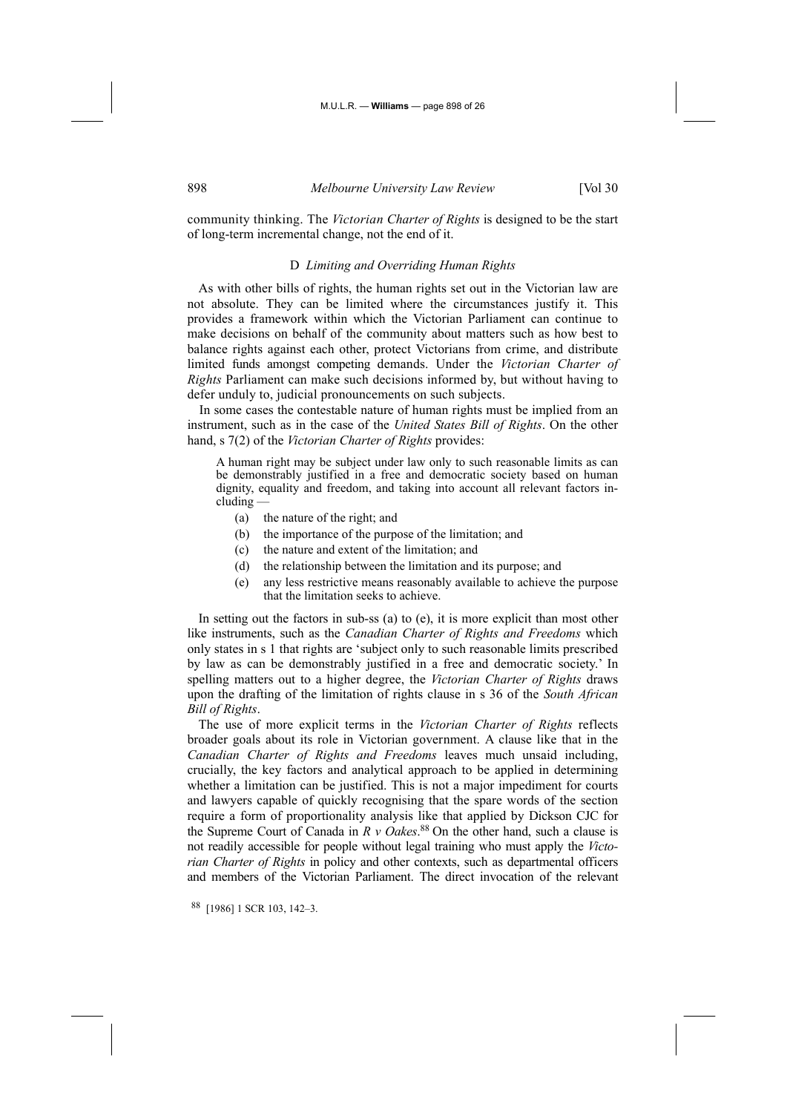community thinking. The *Victorian Charter of Rights* is designed to be the start of long-term incremental change, not the end of it.

## D *Limiting and Overriding Human Rights*

As with other bills of rights, the human rights set out in the Victorian law are not absolute. They can be limited where the circumstances justify it. This provides a framework within which the Victorian Parliament can continue to make decisions on behalf of the community about matters such as how best to balance rights against each other, protect Victorians from crime, and distribute limited funds amongst competing demands. Under the *Victorian Charter of Rights* Parliament can make such decisions informed by, but without having to defer unduly to, judicial pronouncements on such subjects.

In some cases the contestable nature of human rights must be implied from an instrument, such as in the case of the *United States Bill of Rights*. On the other hand, s 7(2) of the *Victorian Charter of Rights* provides:

A human right may be subject under law only to such reasonable limits as can be demonstrably justified in a free and democratic society based on human dignity, equality and freedom, and taking into account all relevant factors including —

- (a) the nature of the right; and
- (b) the importance of the purpose of the limitation; and
- (c) the nature and extent of the limitation; and
- (d) the relationship between the limitation and its purpose; and
- (e) any less restrictive means reasonably available to achieve the purpose that the limitation seeks to achieve.

In setting out the factors in sub-ss (a) to (e), it is more explicit than most other like instruments, such as the *Canadian Charter of Rights and Freedoms* which only states in s 1 that rights are 'subject only to such reasonable limits prescribed by law as can be demonstrably justified in a free and democratic society.' In spelling matters out to a higher degree, the *Victorian Charter of Rights* draws upon the drafting of the limitation of rights clause in s 36 of the *South African Bill of Rights*.

The use of more explicit terms in the *Victorian Charter of Rights* reflects broader goals about its role in Victorian government. A clause like that in the *Canadian Charter of Rights and Freedoms* leaves much unsaid including, crucially, the key factors and analytical approach to be applied in determining whether a limitation can be justified. This is not a major impediment for courts and lawyers capable of quickly recognising that the spare words of the section require a form of proportionality analysis like that applied by Dickson CJC for the Supreme Court of Canada in *R v Oakes*. 88 On the other hand, such a clause is not readily accessible for people without legal training who must apply the *Victorian Charter of Rights* in policy and other contexts, such as departmental officers and members of the Victorian Parliament. The direct invocation of the relevant

88 [1986] 1 SCR 103, 142–3.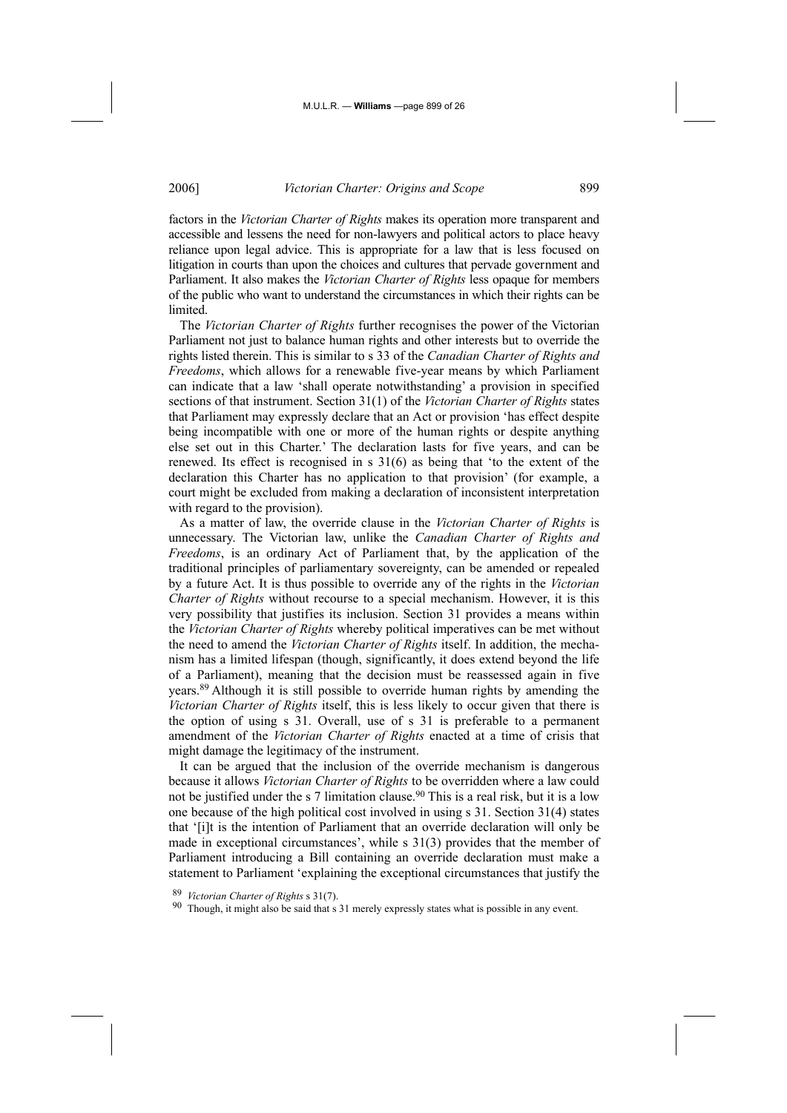factors in the *Victorian Charter of Rights* makes its operation more transparent and accessible and lessens the need for non-lawyers and political actors to place heavy reliance upon legal advice. This is appropriate for a law that is less focused on litigation in courts than upon the choices and cultures that pervade government and Parliament. It also makes the *Victorian Charter of Rights* less opaque for members of the public who want to understand the circumstances in which their rights can be **limited** 

The *Victorian Charter of Rights* further recognises the power of the Victorian Parliament not just to balance human rights and other interests but to override the rights listed therein. This is similar to s 33 of the *Canadian Charter of Rights and Freedoms*, which allows for a renewable five-year means by which Parliament can indicate that a law 'shall operate notwithstanding' a provision in specified sections of that instrument. Section 31(1) of the *Victorian Charter of Rights* states that Parliament may expressly declare that an Act or provision 'has effect despite being incompatible with one or more of the human rights or despite anything else set out in this Charter.' The declaration lasts for five years, and can be renewed. Its effect is recognised in s 31(6) as being that 'to the extent of the declaration this Charter has no application to that provision' (for example, a court might be excluded from making a declaration of inconsistent interpretation with regard to the provision).

As a matter of law, the override clause in the *Victorian Charter of Rights* is unnecessary. The Victorian law, unlike the *Canadian Charter of Rights and Freedoms*, is an ordinary Act of Parliament that, by the application of the traditional principles of parliamentary sovereignty, can be amended or repealed by a future Act. It is thus possible to override any of the rights in the *Victorian Charter of Rights* without recourse to a special mechanism. However, it is this very possibility that justifies its inclusion. Section 31 provides a means within the *Victorian Charter of Rights* whereby political imperatives can be met without the need to amend the *Victorian Charter of Rights* itself. In addition, the mechanism has a limited lifespan (though, significantly, it does extend beyond the life of a Parliament), meaning that the decision must be reassessed again in five years.89 Although it is still possible to override human rights by amending the *Victorian Charter of Rights* itself, this is less likely to occur given that there is the option of using s 31. Overall, use of s 31 is preferable to a permanent amendment of the *Victorian Charter of Rights* enacted at a time of crisis that might damage the legitimacy of the instrument.

It can be argued that the inclusion of the override mechanism is dangerous because it allows *Victorian Charter of Rights* to be overridden where a law could not be justified under the s 7 limitation clause.<sup>90</sup> This is a real risk, but it is a low one because of the high political cost involved in using s 31. Section 31(4) states that '[i]t is the intention of Parliament that an override declaration will only be made in exceptional circumstances', while s 31(3) provides that the member of Parliament introducing a Bill containing an override declaration must make a statement to Parliament 'explaining the exceptional circumstances that justify the

<sup>89</sup> *Victorian Charter of Rights* s 31(7). 90 Though, it might also be said that s 31 merely expressly states what is possible in any event.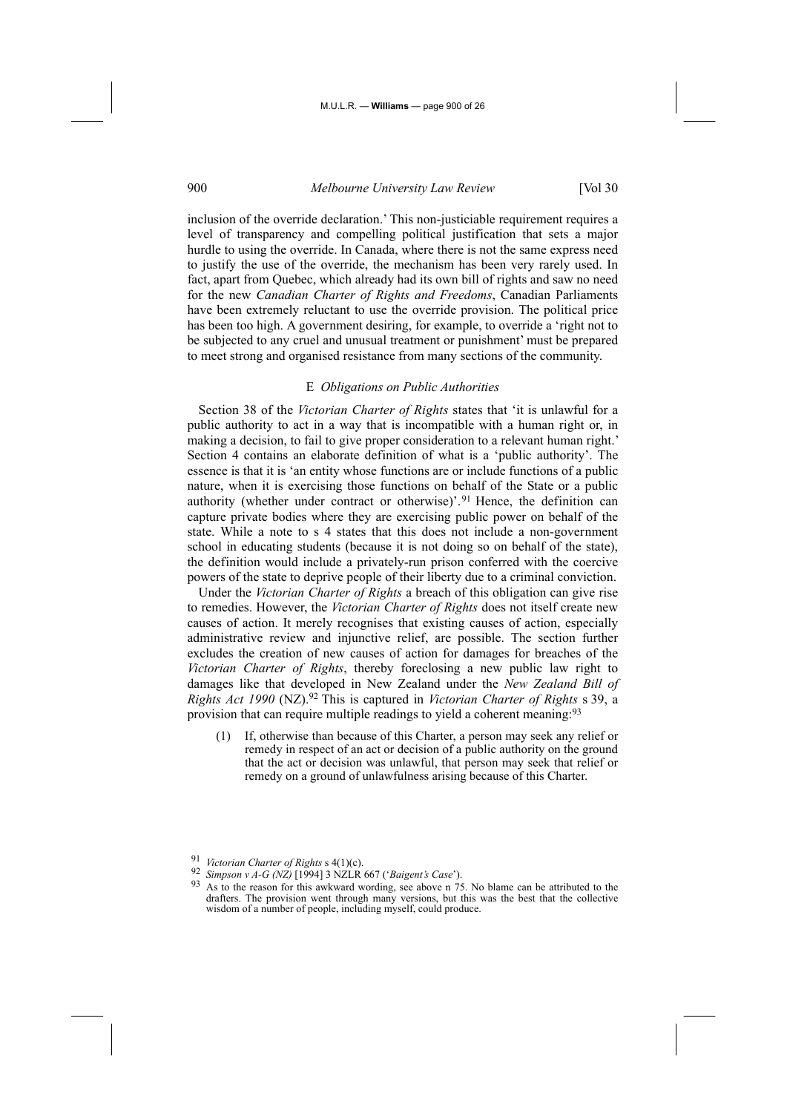inclusion of the override declaration.' This non-justiciable requirement requires a level of transparency and compelling political justification that sets a major hurdle to using the override. In Canada, where there is not the same express need to justify the use of the override, the mechanism has been very rarely used. In fact, apart from Quebec, which already had its own bill of rights and saw no need for the new *Canadian Charter of Rights and Freedoms*, Canadian Parliaments have been extremely reluctant to use the override provision. The political price has been too high. A government desiring, for example, to override a 'right not to be subjected to any cruel and unusual treatment or punishment' must be prepared to meet strong and organised resistance from many sections of the community.

## E *Obligations on Public Authorities*

Section 38 of the *Victorian Charter of Rights* states that 'it is unlawful for a public authority to act in a way that is incompatible with a human right or, in making a decision, to fail to give proper consideration to a relevant human right.' Section 4 contains an elaborate definition of what is a 'public authority'. The essence is that it is 'an entity whose functions are or include functions of a public nature, when it is exercising those functions on behalf of the State or a public authority (whether under contract or otherwise)'.<sup>91</sup> Hence, the definition can capture private bodies where they are exercising public power on behalf of the state. While a note to s 4 states that this does not include a non-government school in educating students (because it is not doing so on behalf of the state), the definition would include a privately-run prison conferred with the coercive powers of the state to deprive people of their liberty due to a criminal conviction.

Under the *Victorian Charter of Rights* a breach of this obligation can give rise to remedies. However, the *Victorian Charter of Rights* does not itself create new causes of action. It merely recognises that existing causes of action, especially administrative review and injunctive relief, are possible. The section further excludes the creation of new causes of action for damages for breaches of the *Victorian Charter of Rights*, thereby foreclosing a new public law right to damages like that developed in New Zealand under the *New Zealand Bill of Rights Act 1990* (NZ).92 This is captured in *Victorian Charter of Rights* s 39, a provision that can require multiple readings to yield a coherent meaning:<sup>93</sup>

(1) If, otherwise than because of this Charter, a person may seek any relief or remedy in respect of an act or decision of a public authority on the ground that the act or decision was unlawful, that person may seek that relief or remedy on a ground of unlawfulness arising because of this Charter.

<sup>91</sup> *Victorian Charter of Rights* s 4(1)(c). 92 *Simpson v A-G (NZ)* [1994] 3 NZLR 667 ('*Baigent's Case*'). 93 As to the reason for this awkward wording, see above n 75. No blame can be attributed to the drafters. The provision went through many versions, but this was the best that the collective wisdom of a number of people, including myself, could produce.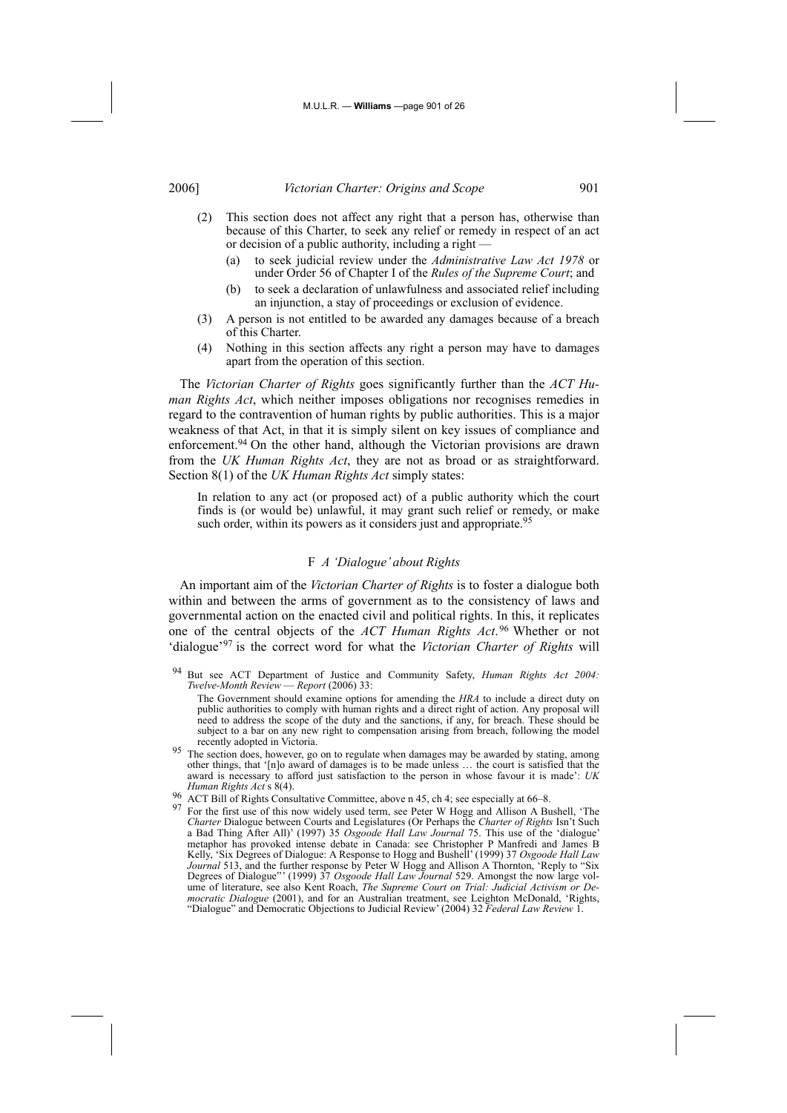#### M.U.L.R. — **Williams** —page 901 of 26

# 2006] *Victorian Charter: Origins and Scope* 901

- (2) This section does not affect any right that a person has, otherwise than because of this Charter, to seek any relief or remedy in respect of an act or decision of a public authority, including a right —
	- (a) to seek judicial review under the *Administrative Law Act 1978* or under Order 56 of Chapter I of the *Rules of the Supreme Court*; and
	- (b) to seek a declaration of unlawfulness and associated relief including an injunction, a stay of proceedings or exclusion of evidence.
- (3) A person is not entitled to be awarded any damages because of a breach of this Charter.
- (4) Nothing in this section affects any right a person may have to damages apart from the operation of this section.

The *Victorian Charter of Rights* goes significantly further than the *ACT Human Rights Act*, which neither imposes obligations nor recognises remedies in regard to the contravention of human rights by public authorities. This is a major weakness of that Act, in that it is simply silent on key issues of compliance and enforcement.<sup>94</sup> On the other hand, although the Victorian provisions are drawn from the *UK Human Rights Act*, they are not as broad or as straightforward. Section 8(1) of the *UK Human Rights Act* simply states:

In relation to any act (or proposed act) of a public authority which the court finds is (or would be) unlawful, it may grant such relief or remedy, or make such order, within its powers as it considers just and appropriate.<sup>95</sup>

#### F *A 'Dialogue' about Rights*

An important aim of the *Victorian Charter of Rights* is to foster a dialogue both within and between the arms of government as to the consistency of laws and governmental action on the enacted civil and political rights. In this, it replicates one of the central objects of the *ACT Human Rights Act*. 96 Whether or not 'dialogue'97 is the correct word for what the *Victorian Charter of Rights* will

- <sup>95</sup> The section does, however, go on to regulate when damages may be awarded by stating, among other things, that '[n]o award of damages is to be made unless … the court is satisfied that the and is necessary to afford just satisfaction to the person in whose favour it is made': *UK Human Rights Act* s 8(4).
- 
- <sup>96</sup> ACT Bill of Rights Consultative Committee, above n 45, ch 4; see especially at 66–8. 97 For the first use of this now widely used term, see Peter W Hogg and Allison A Bushell, 'The *Charter* Dialogue between Courts and Legislatures (Or Perhaps the *Charter of Rights* Isn't Such a Bad Thing After All)' (1997) 35 *Osgoode Hall Law Journal* 75. This use of the 'dialogue' metaphor has provoked intense debate in Canada: see Christopher P Manfredi and James B Kelly, 'Six Degrees of Dialogue: A Response to Hogg and Bushell' (1999) 37 *Osgoode Hall Law Journal* 513, and the further response by Peter W Hogg and Allison A Thornton, 'Reply to "Six Degrees of Dialogue"' (1999) 37 *Osgoode Hall Law Journal* 529. Amongst the now large volume of literature, see also Kent Roach, *The Supreme Court on Trial: Judicial Activism or Democratic Dialogue* (2001), and for an Australian treatment, see Leighton McDonald, 'Rights, "Dialogue" and Democratic Objections to Judicial Review' (2004) 32 *Federal Law Review* 1.

<sup>94</sup> But see ACT Department of Justice and Community Safety, *Human Rights Act 2004: Twelve-Month Review* — *Report* (2006) 33:

The Government should examine options for amending the *HRA* to include a direct duty on public authorities to comply with human rights and a direct right of action. Any proposal will need to address the scope of the duty and the sanctions, if any, for breach. These should be subject to a bar on any new right to compensation arising from breach, following the model recently adopted in Victoria.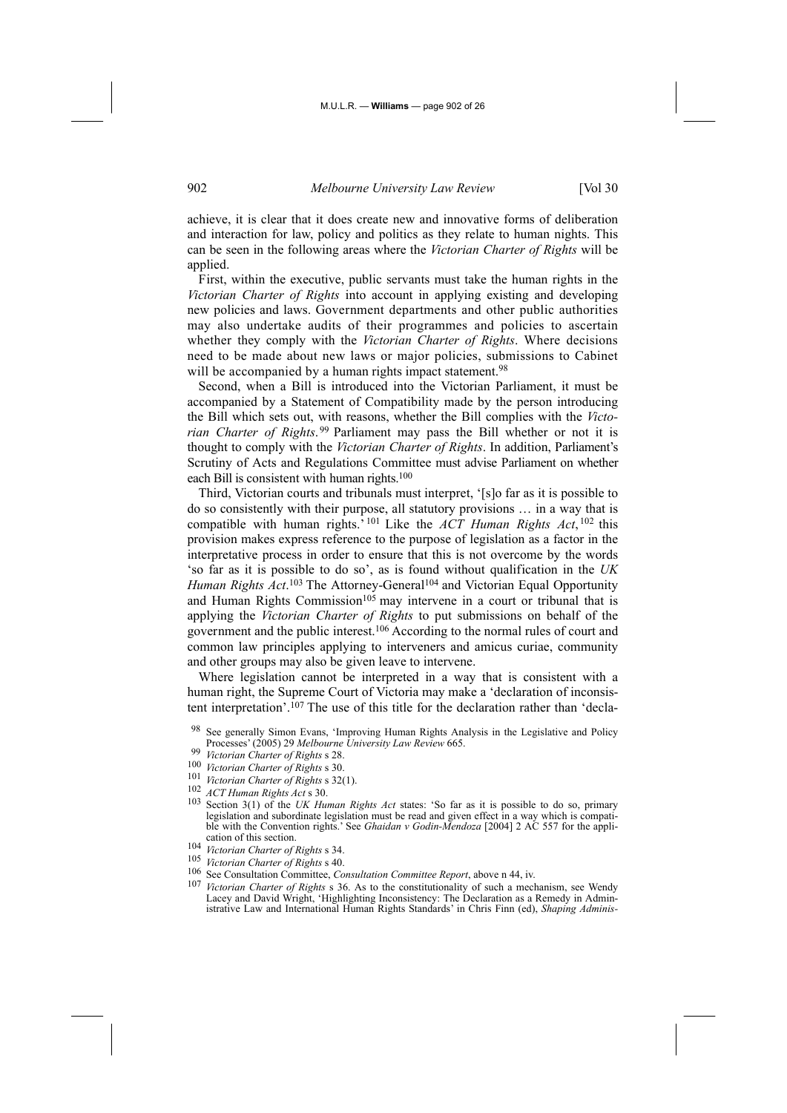achieve, it is clear that it does create new and innovative forms of deliberation and interaction for law, policy and politics as they relate to human nights. This can be seen in the following areas where the *Victorian Charter of Rights* will be applied.

First, within the executive, public servants must take the human rights in the *Victorian Charter of Rights* into account in applying existing and developing new policies and laws. Government departments and other public authorities may also undertake audits of their programmes and policies to ascertain whether they comply with the *Victorian Charter of Rights*. Where decisions need to be made about new laws or major policies, submissions to Cabinet will be accompanied by a human rights impact statement.<sup>98</sup>

Second, when a Bill is introduced into the Victorian Parliament, it must be accompanied by a Statement of Compatibility made by the person introducing the Bill which sets out, with reasons, whether the Bill complies with the *Victorian Charter of Rights*. 99 Parliament may pass the Bill whether or not it is thought to comply with the *Victorian Charter of Rights*. In addition, Parliament's Scrutiny of Acts and Regulations Committee must advise Parliament on whether each Bill is consistent with human rights.100

Third, Victorian courts and tribunals must interpret, '[s]o far as it is possible to do so consistently with their purpose, all statutory provisions … in a way that is compatible with human rights.' 101 Like the *ACT Human Rights Act*, 102 this provision makes express reference to the purpose of legislation as a factor in the interpretative process in order to ensure that this is not overcome by the words 'so far as it is possible to do so', as is found without qualification in the *UK* Human Rights Act.<sup>103</sup> The Attorney-General<sup>104</sup> and Victorian Equal Opportunity and Human Rights Commission<sup>105</sup> may intervene in a court or tribunal that is applying the *Victorian Charter of Rights* to put submissions on behalf of the government and the public interest.<sup>106</sup> According to the normal rules of court and common law principles applying to interveners and amicus curiae, community and other groups may also be given leave to intervene.

Where legislation cannot be interpreted in a way that is consistent with a human right, the Supreme Court of Victoria may make a 'declaration of inconsistent interpretation'.107 The use of this title for the declaration rather than 'decla-

- <sup>99</sup> *Victorian Charter of Rights* s 28.
- <sup>100</sup> *Victorian Charter of Rights* s 30.
- <sup>101</sup> *Victorian Charter of Rights* s 32(1). 102 *ACT Human Rights Act* s 30.
- 
- 103 Section 3(1) of the *UK Human Rights Act* states: 'So far as it is possible to do so, primary legislation and subordinate legislation must be read and given effect in a way which is compatible with the Convention rights.' See *Ghaidan v Godin-Mendoza* [2004] 2 AC 557 for the application of this section.
- <sup>104</sup> *Victorian Charter of Rights* s 34.
- <sup>105</sup> *Victorian Charter of Rights* s 40.
- 106 See Consultation Committee, *Consultation Committee Report*, above n 44, iv.
- <sup>107</sup> *Victorian Charter of Rights* s 36. As to the constitutionality of such a mechanism, see Wendy Lacey and David Wright, 'Highlighting Inconsistency: The Declaration as a Remedy in Administrative Law and International Human Rights Standards' in Chris Finn (ed), *Shaping Adminis-*

<sup>98</sup> See generally Simon Evans, 'Improving Human Rights Analysis in the Legislative and Policy Processes' (2005) 29 *Melbourne University Law Review* 665.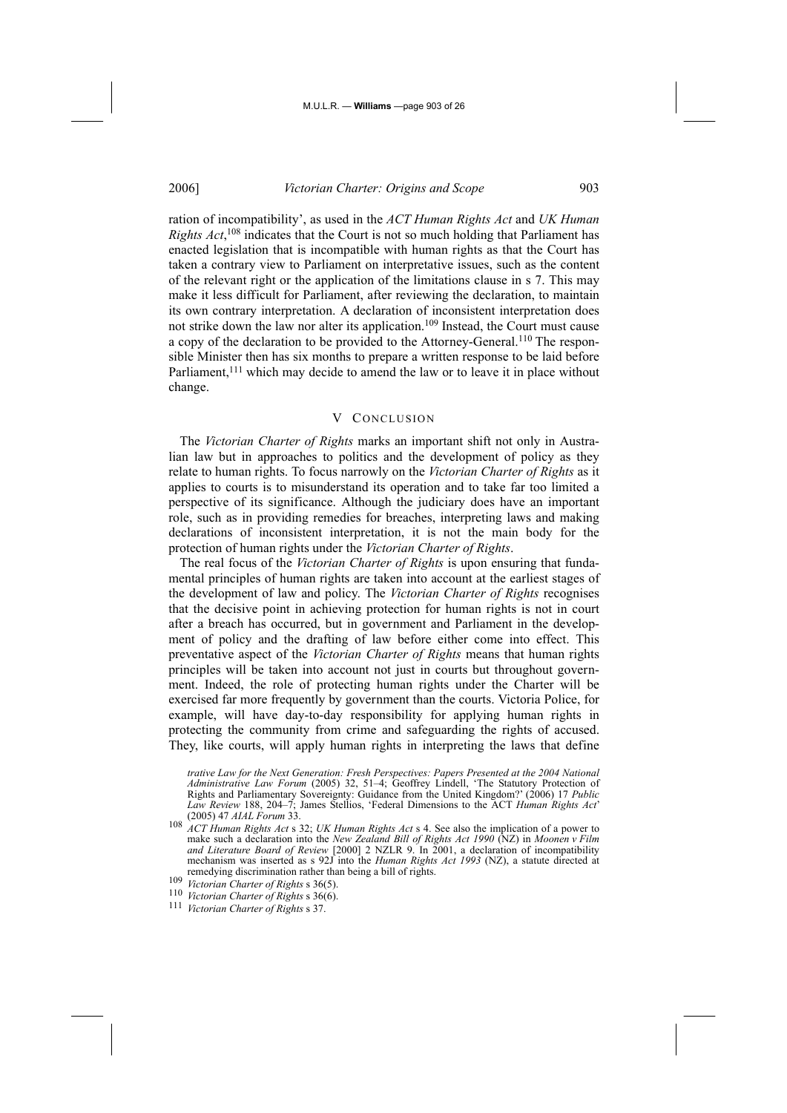ration of incompatibility', as used in the *ACT Human Rights Act* and *UK Human Rights Act*, 108 indicates that the Court is not so much holding that Parliament has enacted legislation that is incompatible with human rights as that the Court has taken a contrary view to Parliament on interpretative issues, such as the content of the relevant right or the application of the limitations clause in s 7. This may make it less difficult for Parliament, after reviewing the declaration, to maintain its own contrary interpretation. A declaration of inconsistent interpretation does not strike down the law nor alter its application.109 Instead, the Court must cause a copy of the declaration to be provided to the Attorney-General.110 The responsible Minister then has six months to prepare a written response to be laid before Parliament,<sup>111</sup> which may decide to amend the law or to leave it in place without change.

#### V CONCLUSION

The *Victorian Charter of Rights* marks an important shift not only in Australian law but in approaches to politics and the development of policy as they relate to human rights. To focus narrowly on the *Victorian Charter of Rights* as it applies to courts is to misunderstand its operation and to take far too limited a perspective of its significance. Although the judiciary does have an important role, such as in providing remedies for breaches, interpreting laws and making declarations of inconsistent interpretation, it is not the main body for the protection of human rights under the *Victorian Charter of Rights*.

The real focus of the *Victorian Charter of Rights* is upon ensuring that fundamental principles of human rights are taken into account at the earliest stages of the development of law and policy. The *Victorian Charter of Rights* recognises that the decisive point in achieving protection for human rights is not in court after a breach has occurred, but in government and Parliament in the development of policy and the drafting of law before either come into effect. This preventative aspect of the *Victorian Charter of Rights* means that human rights principles will be taken into account not just in courts but throughout government. Indeed, the role of protecting human rights under the Charter will be exercised far more frequently by government than the courts. Victoria Police, for example, will have day-to-day responsibility for applying human rights in protecting the community from crime and safeguarding the rights of accused. They, like courts, will apply human rights in interpreting the laws that define

*trative Law for the Next Generation: Fresh Perspectives: Papers Presented at the 2004 National Administrative Law Forum* (2005) 32, 51–4; Geoffrey Lindell, 'The Statutory Protection of Rights and Parliamentary Sovereignty: Guidance from the United Kingdom?' (2006) 17 *Public Law Review* 188, 204–7; James Stellios, 'Federal Dimensions to the ACT *Human Rights Act*' (2005) 47 *AIAL Forum* 33.

<sup>108</sup> *ACT Human Rights Act* s 32; *UK Human Rights Act* s 4. See also the implication of a power to make such a declaration into the *New Zealand Bill of Rights Act 1990* (NZ) in *Moonen v Film and Literature Board of Review* [2000] 2 NZLR 9. In 2001, a declaration of incompatibility mechanism was inserted as s 92J into the *Human Rights Act* 1993 (NZ), a statute directed at remedying discrimination rather than being a bill of rights.

remedying discrimination rather than being a bill of rights. 109 *Victorian Charter of Rights* s 36(5). 110 *Victorian Charter of Rights* s 36(6). 111 *Victorian Charter of Rights* s 37.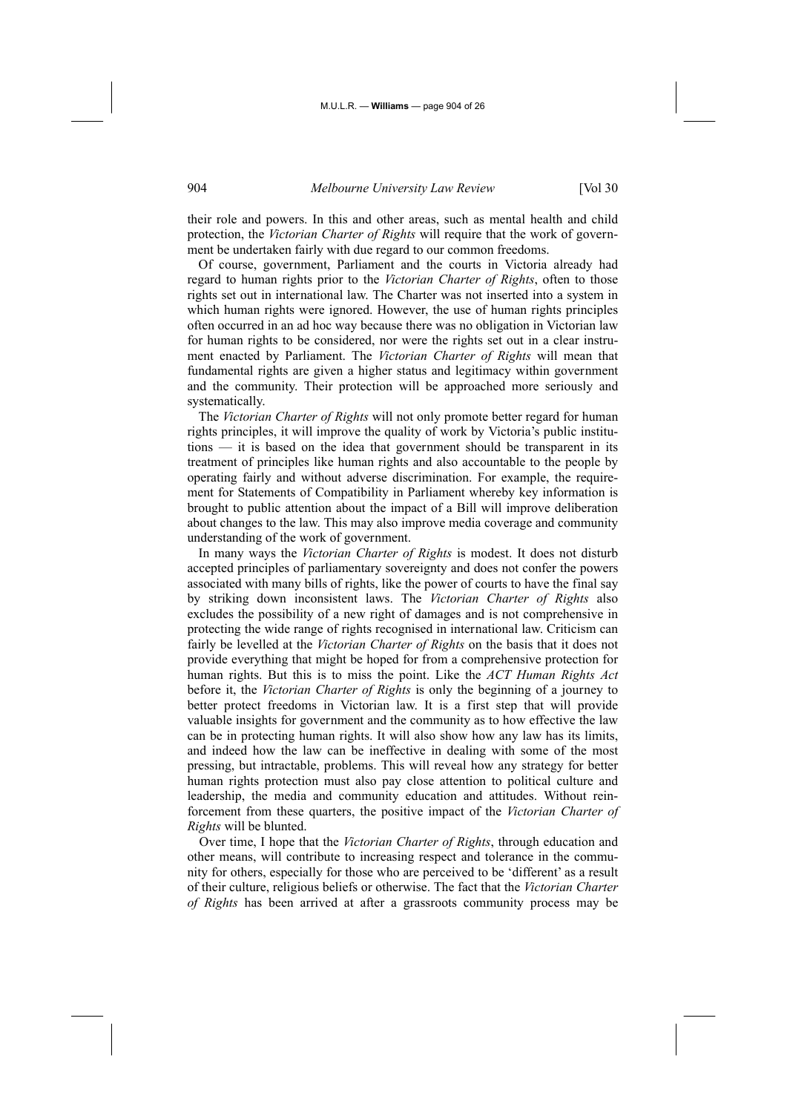their role and powers. In this and other areas, such as mental health and child protection, the *Victorian Charter of Rights* will require that the work of government be undertaken fairly with due regard to our common freedoms.

Of course, government, Parliament and the courts in Victoria already had regard to human rights prior to the *Victorian Charter of Rights*, often to those rights set out in international law. The Charter was not inserted into a system in which human rights were ignored. However, the use of human rights principles often occurred in an ad hoc way because there was no obligation in Victorian law for human rights to be considered, nor were the rights set out in a clear instrument enacted by Parliament. The *Victorian Charter of Rights* will mean that fundamental rights are given a higher status and legitimacy within government and the community. Their protection will be approached more seriously and systematically.

The *Victorian Charter of Rights* will not only promote better regard for human rights principles, it will improve the quality of work by Victoria's public institutions — it is based on the idea that government should be transparent in its treatment of principles like human rights and also accountable to the people by operating fairly and without adverse discrimination. For example, the requirement for Statements of Compatibility in Parliament whereby key information is brought to public attention about the impact of a Bill will improve deliberation about changes to the law. This may also improve media coverage and community understanding of the work of government.

In many ways the *Victorian Charter of Rights* is modest. It does not disturb accepted principles of parliamentary sovereignty and does not confer the powers associated with many bills of rights, like the power of courts to have the final say by striking down inconsistent laws. The *Victorian Charter of Rights* also excludes the possibility of a new right of damages and is not comprehensive in protecting the wide range of rights recognised in international law. Criticism can fairly be levelled at the *Victorian Charter of Rights* on the basis that it does not provide everything that might be hoped for from a comprehensive protection for human rights. But this is to miss the point. Like the *ACT Human Rights Act* before it, the *Victorian Charter of Rights* is only the beginning of a journey to better protect freedoms in Victorian law. It is a first step that will provide valuable insights for government and the community as to how effective the law can be in protecting human rights. It will also show how any law has its limits, and indeed how the law can be ineffective in dealing with some of the most pressing, but intractable, problems. This will reveal how any strategy for better human rights protection must also pay close attention to political culture and leadership, the media and community education and attitudes. Without reinforcement from these quarters, the positive impact of the *Victorian Charter of Rights* will be blunted.

Over time, I hope that the *Victorian Charter of Rights*, through education and other means, will contribute to increasing respect and tolerance in the community for others, especially for those who are perceived to be 'different' as a result of their culture, religious beliefs or otherwise. The fact that the *Victorian Charter of Rights* has been arrived at after a grassroots community process may be